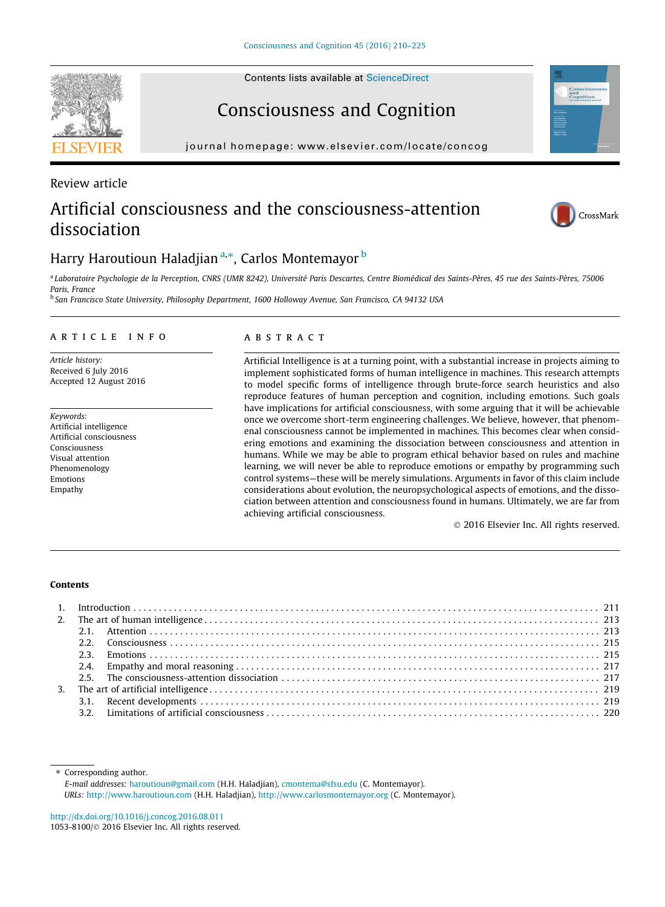# Consciousness and Cognition

journal homepage: [www.elsevier.com/locate/concog](http://www.elsevier.com/locate/concog)

# Artificial consciousness and the consciousness-attention dissociation



<sup>a</sup> Laboratoire Psychologie de la Perception, CNRS (UMR 8242), Université Paris Descartes, Centre Biomédical des Saints-Pères, 45 rue des Saints-Pères, 75006 Paris, France

<sup>b</sup> San Francisco State University, Philosophy Department, 1600 Holloway Avenue, San Francisco, CA 94132 USA

## article info

Article history: Received 6 July 2016 Accepted 12 August 2016

Keywords: Artificial intelligence Artificial consciousness Consciousness Visual attention Phenomenology Emotions Empathy

### **ABSTRACT**

Artificial Intelligence is at a turning point, with a substantial increase in projects aiming to implement sophisticated forms of human intelligence in machines. This research attempts to model specific forms of intelligence through brute-force search heuristics and also reproduce features of human perception and cognition, including emotions. Such goals have implications for artificial consciousness, with some arguing that it will be achievable once we overcome short-term engineering challenges. We believe, however, that phenomenal consciousness cannot be implemented in machines. This becomes clear when considering emotions and examining the dissociation between consciousness and attention in humans. While we may be able to program ethical behavior based on rules and machine learning, we will never be able to reproduce emotions or empathy by programming such control systems—these will be merely simulations. Arguments in favor of this claim include considerations about evolution, the neuropsychological aspects of emotions, and the dissociation between attention and consciousness found in humans. Ultimately, we are far from achieving artificial consciousness.

2016 Elsevier Inc. All rights reserved.

#### Contents

⇑ Corresponding author. E-mail addresses: [haroutioun@gmail.com](mailto:haroutioun@gmail.com) (H.H. Haladjian), [cmontema@sfsu.edu](mailto:cmontema@sfsu.edu) (C. Montemayor). URLs: <http://www.haroutioun.com> (H.H. Haladjian), <http://www.carlosmontemayor.org> (C. Montemayor).

<http://dx.doi.org/10.1016/j.concog.2016.08.011> 1053-8100/© 2016 Elsevier Inc. All rights reserved.



Review article



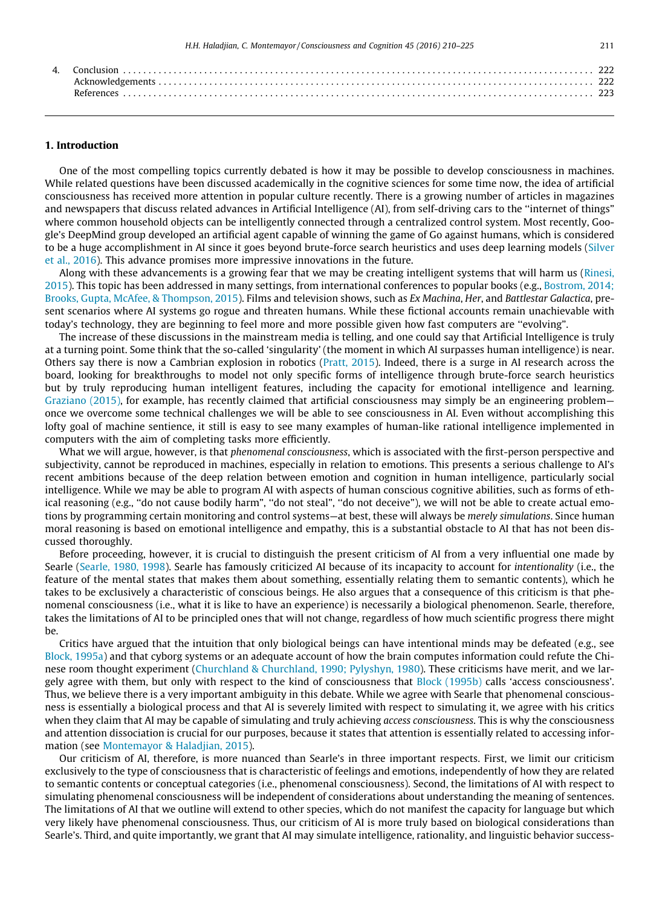#### 1. Introduction

One of the most compelling topics currently debated is how it may be possible to develop consciousness in machines. While related questions have been discussed academically in the cognitive sciences for some time now, the idea of artificial consciousness has received more attention in popular culture recently. There is a growing number of articles in magazines and newspapers that discuss related advances in Artificial Intelligence (AI), from self-driving cars to the ''internet of things" where common household objects can be intelligently connected through a centralized control system. Most recently, Google's DeepMind group developed an artificial agent capable of winning the game of Go against humans, which is considered to be a huge accomplishment in AI since it goes beyond brute-force search heuristics and uses deep learning models ([Silver](#page-15-0) [et al., 2016\)](#page-15-0). This advance promises more impressive innovations in the future.

Along with these advancements is a growing fear that we may be creating intelligent systems that will harm us [\(Rinesi,](#page-15-0) [2015\)](#page-15-0). This topic has been addressed in many settings, from international conferences to popular books (e.g., [Bostrom, 2014;](#page-13-0) [Brooks, Gupta, McAfee, & Thompson, 2015](#page-13-0)). Films and television shows, such as Ex Machina, Her, and Battlestar Galactica, present scenarios where AI systems go rogue and threaten humans. While these fictional accounts remain unachievable with today's technology, they are beginning to feel more and more possible given how fast computers are "evolving".

The increase of these discussions in the mainstream media is telling, and one could say that Artificial Intelligence is truly at a turning point. Some think that the so-called 'singularity' (the moment in which AI surpasses human intelligence) is near. Others say there is now a Cambrian explosion in robotics ([Pratt, 2015\)](#page-14-0). Indeed, there is a surge in AI research across the board, looking for breakthroughs to model not only specific forms of intelligence through brute-force search heuristics but by truly reproducing human intelligent features, including the capacity for emotional intelligence and learning. [Graziano \(2015\),](#page-13-0) for example, has recently claimed that artificial consciousness may simply be an engineering problem once we overcome some technical challenges we will be able to see consciousness in AI. Even without accomplishing this lofty goal of machine sentience, it still is easy to see many examples of human-like rational intelligence implemented in computers with the aim of completing tasks more efficiently.

What we will argue, however, is that phenomenal consciousness, which is associated with the first-person perspective and subjectivity, cannot be reproduced in machines, especially in relation to emotions. This presents a serious challenge to AI's recent ambitions because of the deep relation between emotion and cognition in human intelligence, particularly social intelligence. While we may be able to program AI with aspects of human conscious cognitive abilities, such as forms of ethical reasoning (e.g., ''do not cause bodily harm", ''do not steal", ''do not deceive"), we will not be able to create actual emotions by programming certain monitoring and control systems—at best, these will always be merely simulations. Since human moral reasoning is based on emotional intelligence and empathy, this is a substantial obstacle to AI that has not been discussed thoroughly.

Before proceeding, however, it is crucial to distinguish the present criticism of AI from a very influential one made by Searle [\(Searle, 1980, 1998](#page-15-0)). Searle has famously criticized AI because of its incapacity to account for intentionality (i.e., the feature of the mental states that makes them about something, essentially relating them to semantic contents), which he takes to be exclusively a characteristic of conscious beings. He also argues that a consequence of this criticism is that phenomenal consciousness (i.e., what it is like to have an experience) is necessarily a biological phenomenon. Searle, therefore, takes the limitations of AI to be principled ones that will not change, regardless of how much scientific progress there might be.

Critics have argued that the intuition that only biological beings can have intentional minds may be defeated (e.g., see [Block, 1995a\)](#page-13-0) and that cyborg systems or an adequate account of how the brain computes information could refute the Chinese room thought experiment [\(Churchland & Churchland, 1990; Pylyshyn, 1980\)](#page-13-0). These criticisms have merit, and we largely agree with them, but only with respect to the kind of consciousness that [Block \(1995b\)](#page-13-0) calls 'access consciousness'. Thus, we believe there is a very important ambiguity in this debate. While we agree with Searle that phenomenal consciousness is essentially a biological process and that AI is severely limited with respect to simulating it, we agree with his critics when they claim that AI may be capable of simulating and truly achieving *access consciousness*. This is why the consciousness and attention dissociation is crucial for our purposes, because it states that attention is essentially related to accessing information (see [Montemayor & Haladjian, 2015\)](#page-14-0).

Our criticism of AI, therefore, is more nuanced than Searle's in three important respects. First, we limit our criticism exclusively to the type of consciousness that is characteristic of feelings and emotions, independently of how they are related to semantic contents or conceptual categories (i.e., phenomenal consciousness). Second, the limitations of AI with respect to simulating phenomenal consciousness will be independent of considerations about understanding the meaning of sentences. The limitations of AI that we outline will extend to other species, which do not manifest the capacity for language but which very likely have phenomenal consciousness. Thus, our criticism of AI is more truly based on biological considerations than Searle's. Third, and quite importantly, we grant that AI may simulate intelligence, rationality, and linguistic behavior success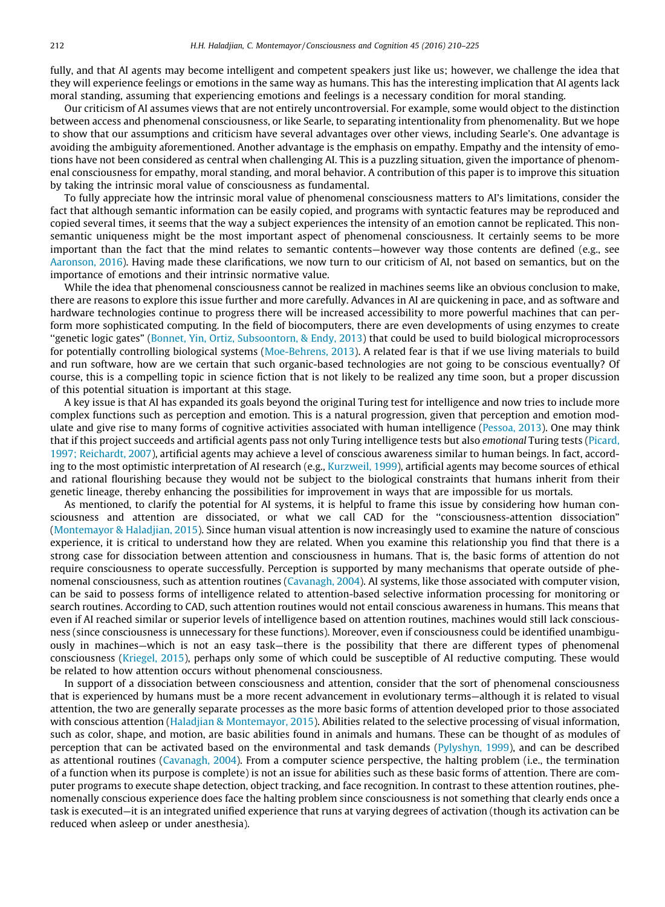fully, and that AI agents may become intelligent and competent speakers just like us; however, we challenge the idea that they will experience feelings or emotions in the same way as humans. This has the interesting implication that AI agents lack moral standing, assuming that experiencing emotions and feelings is a necessary condition for moral standing.

Our criticism of AI assumes views that are not entirely uncontroversial. For example, some would object to the distinction between access and phenomenal consciousness, or like Searle, to separating intentionality from phenomenality. But we hope to show that our assumptions and criticism have several advantages over other views, including Searle's. One advantage is avoiding the ambiguity aforementioned. Another advantage is the emphasis on empathy. Empathy and the intensity of emotions have not been considered as central when challenging AI. This is a puzzling situation, given the importance of phenomenal consciousness for empathy, moral standing, and moral behavior. A contribution of this paper is to improve this situation by taking the intrinsic moral value of consciousness as fundamental.

To fully appreciate how the intrinsic moral value of phenomenal consciousness matters to AI's limitations, consider the fact that although semantic information can be easily copied, and programs with syntactic features may be reproduced and copied several times, it seems that the way a subject experiences the intensity of an emotion cannot be replicated. This nonsemantic uniqueness might be the most important aspect of phenomenal consciousness. It certainly seems to be more important than the fact that the mind relates to semantic contents—however way those contents are defined (e.g., see [Aaronson, 2016](#page-13-0)). Having made these clarifications, we now turn to our criticism of AI, not based on semantics, but on the importance of emotions and their intrinsic normative value.

While the idea that phenomenal consciousness cannot be realized in machines seems like an obvious conclusion to make, there are reasons to explore this issue further and more carefully. Advances in AI are quickening in pace, and as software and hardware technologies continue to progress there will be increased accessibility to more powerful machines that can perform more sophisticated computing. In the field of biocomputers, there are even developments of using enzymes to create ''genetic logic gates" ([Bonnet, Yin, Ortiz, Subsoontorn, & Endy, 2013\)](#page-13-0) that could be used to build biological microprocessors for potentially controlling biological systems ([Moe-Behrens, 2013](#page-14-0)). A related fear is that if we use living materials to build and run software, how are we certain that such organic-based technologies are not going to be conscious eventually? Of course, this is a compelling topic in science fiction that is not likely to be realized any time soon, but a proper discussion of this potential situation is important at this stage.

A key issue is that AI has expanded its goals beyond the original Turing test for intelligence and now tries to include more complex functions such as perception and emotion. This is a natural progression, given that perception and emotion modulate and give rise to many forms of cognitive activities associated with human intelligence [\(Pessoa, 2013\)](#page-14-0). One may think that if this project succeeds and artificial agents pass not only Turing intelligence tests but also emotional Turing tests [\(Picard,](#page-14-0) [1997; Reichardt, 2007](#page-14-0)), artificial agents may achieve a level of conscious awareness similar to human beings. In fact, according to the most optimistic interpretation of AI research (e.g., [Kurzweil, 1999](#page-14-0)), artificial agents may become sources of ethical and rational flourishing because they would not be subject to the biological constraints that humans inherit from their genetic lineage, thereby enhancing the possibilities for improvement in ways that are impossible for us mortals.

As mentioned, to clarify the potential for AI systems, it is helpful to frame this issue by considering how human consciousness and attention are dissociated, or what we call CAD for the ''consciousness-attention dissociation" [\(Montemayor & Haladjian, 2015](#page-14-0)). Since human visual attention is now increasingly used to examine the nature of conscious experience, it is critical to understand how they are related. When you examine this relationship you find that there is a strong case for dissociation between attention and consciousness in humans. That is, the basic forms of attention do not require consciousness to operate successfully. Perception is supported by many mechanisms that operate outside of phenomenal consciousness, such as attention routines ([Cavanagh, 2004\)](#page-13-0). AI systems, like those associated with computer vision, can be said to possess forms of intelligence related to attention-based selective information processing for monitoring or search routines. According to CAD, such attention routines would not entail conscious awareness in humans. This means that even if AI reached similar or superior levels of intelligence based on attention routines, machines would still lack consciousness (since consciousness is unnecessary for these functions). Moreover, even if consciousness could be identified unambiguously in machines—which is not an easy task—there is the possibility that there are different types of phenomenal consciousness [\(Kriegel, 2015\)](#page-14-0), perhaps only some of which could be susceptible of AI reductive computing. These would be related to how attention occurs without phenomenal consciousness.

In support of a dissociation between consciousness and attention, consider that the sort of phenomenal consciousness that is experienced by humans must be a more recent advancement in evolutionary terms—although it is related to visual attention, the two are generally separate processes as the more basic forms of attention developed prior to those associated with conscious attention [\(Haladjian & Montemayor, 2015\)](#page-13-0). Abilities related to the selective processing of visual information, such as color, shape, and motion, are basic abilities found in animals and humans. These can be thought of as modules of perception that can be activated based on the environmental and task demands ([Pylyshyn, 1999](#page-15-0)), and can be described as attentional routines ([Cavanagh, 2004\)](#page-13-0). From a computer science perspective, the halting problem (i.e., the termination of a function when its purpose is complete) is not an issue for abilities such as these basic forms of attention. There are computer programs to execute shape detection, object tracking, and face recognition. In contrast to these attention routines, phenomenally conscious experience does face the halting problem since consciousness is not something that clearly ends once a task is executed—it is an integrated unified experience that runs at varying degrees of activation (though its activation can be reduced when asleep or under anesthesia).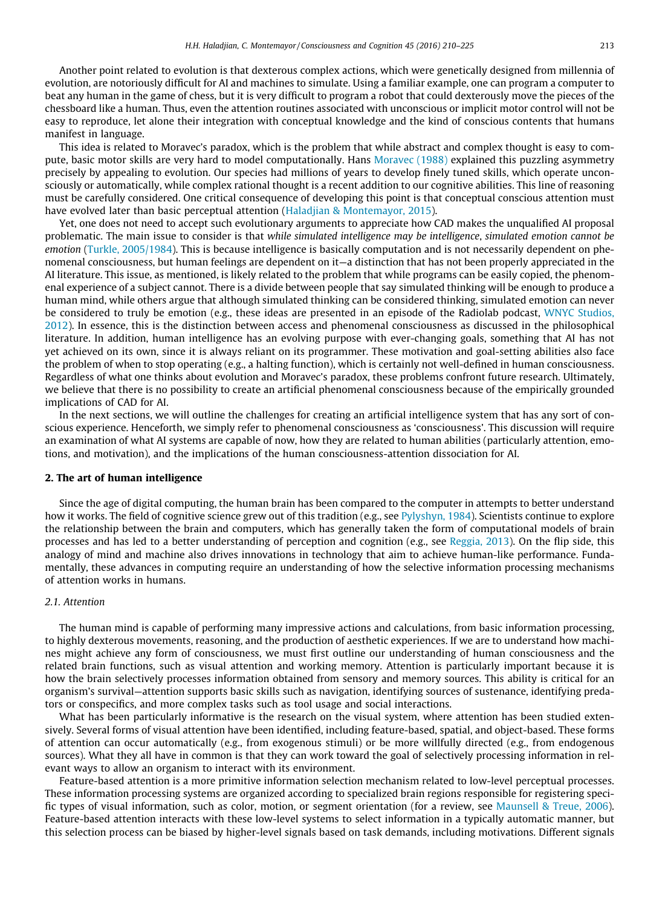Another point related to evolution is that dexterous complex actions, which were genetically designed from millennia of evolution, are notoriously difficult for AI and machines to simulate. Using a familiar example, one can program a computer to beat any human in the game of chess, but it is very difficult to program a robot that could dexterously move the pieces of the chessboard like a human. Thus, even the attention routines associated with unconscious or implicit motor control will not be easy to reproduce, let alone their integration with conceptual knowledge and the kind of conscious contents that humans manifest in language.

This idea is related to Moravec's paradox, which is the problem that while abstract and complex thought is easy to compute, basic motor skills are very hard to model computationally. Hans [Moravec \(1988\)](#page-14-0) explained this puzzling asymmetry precisely by appealing to evolution. Our species had millions of years to develop finely tuned skills, which operate unconsciously or automatically, while complex rational thought is a recent addition to our cognitive abilities. This line of reasoning must be carefully considered. One critical consequence of developing this point is that conceptual conscious attention must have evolved later than basic perceptual attention [\(Haladjian & Montemayor, 2015](#page-13-0)).

Yet, one does not need to accept such evolutionary arguments to appreciate how CAD makes the unqualified AI proposal problematic. The main issue to consider is that while simulated intelligence may be intelligence, simulated emotion cannot be emotion ([Turkle, 2005/1984\)](#page-15-0). This is because intelligence is basically computation and is not necessarily dependent on phenomenal consciousness, but human feelings are dependent on it—a distinction that has not been properly appreciated in the AI literature. This issue, as mentioned, is likely related to the problem that while programs can be easily copied, the phenomenal experience of a subject cannot. There is a divide between people that say simulated thinking will be enough to produce a human mind, while others argue that although simulated thinking can be considered thinking, simulated emotion can never be considered to truly be emotion (e.g., these ideas are presented in an episode of the Radiolab podcast, [WNYC Studios,](#page-15-0) [2012\)](#page-15-0). In essence, this is the distinction between access and phenomenal consciousness as discussed in the philosophical literature. In addition, human intelligence has an evolving purpose with ever-changing goals, something that AI has not yet achieved on its own, since it is always reliant on its programmer. These motivation and goal-setting abilities also face the problem of when to stop operating (e.g., a halting function), which is certainly not well-defined in human consciousness. Regardless of what one thinks about evolution and Moravec's paradox, these problems confront future research. Ultimately, we believe that there is no possibility to create an artificial phenomenal consciousness because of the empirically grounded implications of CAD for AI.

In the next sections, we will outline the challenges for creating an artificial intelligence system that has any sort of conscious experience. Henceforth, we simply refer to phenomenal consciousness as 'consciousness'. This discussion will require an examination of what AI systems are capable of now, how they are related to human abilities (particularly attention, emotions, and motivation), and the implications of the human consciousness-attention dissociation for AI.

#### 2. The art of human intelligence

Since the age of digital computing, the human brain has been compared to the computer in attempts to better understand how it works. The field of cognitive science grew out of this tradition (e.g., see [Pylyshyn, 1984\)](#page-14-0). Scientists continue to explore the relationship between the brain and computers, which has generally taken the form of computational models of brain processes and has led to a better understanding of perception and cognition (e.g., see [Reggia, 2013](#page-15-0)). On the flip side, this analogy of mind and machine also drives innovations in technology that aim to achieve human-like performance. Fundamentally, these advances in computing require an understanding of how the selective information processing mechanisms of attention works in humans.

#### 2.1. Attention

The human mind is capable of performing many impressive actions and calculations, from basic information processing, to highly dexterous movements, reasoning, and the production of aesthetic experiences. If we are to understand how machines might achieve any form of consciousness, we must first outline our understanding of human consciousness and the related brain functions, such as visual attention and working memory. Attention is particularly important because it is how the brain selectively processes information obtained from sensory and memory sources. This ability is critical for an organism's survival—attention supports basic skills such as navigation, identifying sources of sustenance, identifying predators or conspecifics, and more complex tasks such as tool usage and social interactions.

What has been particularly informative is the research on the visual system, where attention has been studied extensively. Several forms of visual attention have been identified, including feature-based, spatial, and object-based. These forms of attention can occur automatically (e.g., from exogenous stimuli) or be more willfully directed (e.g., from endogenous sources). What they all have in common is that they can work toward the goal of selectively processing information in relevant ways to allow an organism to interact with its environment.

Feature-based attention is a more primitive information selection mechanism related to low-level perceptual processes. These information processing systems are organized according to specialized brain regions responsible for registering specific types of visual information, such as color, motion, or segment orientation (for a review, see [Maunsell & Treue, 2006](#page-14-0)). Feature-based attention interacts with these low-level systems to select information in a typically automatic manner, but this selection process can be biased by higher-level signals based on task demands, including motivations. Different signals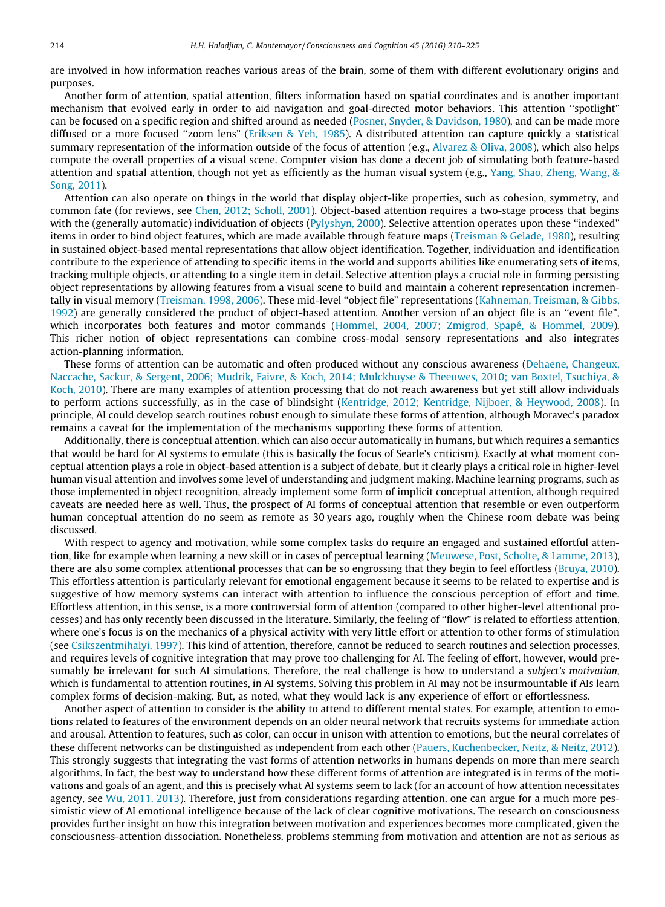are involved in how information reaches various areas of the brain, some of them with different evolutionary origins and purposes.

Another form of attention, spatial attention, filters information based on spatial coordinates and is another important mechanism that evolved early in order to aid navigation and goal-directed motor behaviors. This attention ''spotlight" can be focused on a specific region and shifted around as needed [\(Posner, Snyder, & Davidson, 1980\)](#page-14-0), and can be made more diffused or a more focused ''zoom lens" ([Eriksen & Yeh, 1985\)](#page-13-0). A distributed attention can capture quickly a statistical summary representation of the information outside of the focus of attention (e.g., [Alvarez & Oliva, 2008](#page-13-0)), which also helps compute the overall properties of a visual scene. Computer vision has done a decent job of simulating both feature-based attention and spatial attention, though not yet as efficiently as the human visual system (e.g., [Yang, Shao, Zheng, Wang, &](#page-15-0) [Song, 2011\)](#page-15-0).

Attention can also operate on things in the world that display object-like properties, such as cohesion, symmetry, and common fate (for reviews, see [Chen, 2012; Scholl, 2001\)](#page-13-0). Object-based attention requires a two-stage process that begins with the (generally automatic) individuation of objects [\(Pylyshyn, 2000](#page-15-0)). Selective attention operates upon these "indexed" items in order to bind object features, which are made available through feature maps [\(Treisman & Gelade, 1980\)](#page-15-0), resulting in sustained object-based mental representations that allow object identification. Together, individuation and identification contribute to the experience of attending to specific items in the world and supports abilities like enumerating sets of items, tracking multiple objects, or attending to a single item in detail. Selective attention plays a crucial role in forming persisting object representations by allowing features from a visual scene to build and maintain a coherent representation incrementally in visual memory [\(Treisman, 1998, 2006](#page-15-0)). These mid-level ''object file" representations ([Kahneman, Treisman, & Gibbs,](#page-14-0) [1992](#page-14-0)) are generally considered the product of object-based attention. Another version of an object file is an ''event file", which incorporates both features and motor commands ([Hommel, 2004, 2007; Zmigrod, Spapé, & Hommel, 2009](#page-14-0)). This richer notion of object representations can combine cross-modal sensory representations and also integrates action-planning information.

These forms of attention can be automatic and often produced without any conscious awareness ([Dehaene, Changeux,](#page-13-0) [Naccache, Sackur, & Sergent, 2006; Mudrik, Faivre, & Koch, 2014; Mulckhuyse & Theeuwes, 2010; van Boxtel, Tsuchiya, &](#page-13-0) [Koch, 2010](#page-13-0)). There are many examples of attention processing that do not reach awareness but yet still allow individuals to perform actions successfully, as in the case of blindsight ([Kentridge, 2012; Kentridge, Nijboer, & Heywood, 2008\)](#page-14-0). In principle, AI could develop search routines robust enough to simulate these forms of attention, although Moravec's paradox remains a caveat for the implementation of the mechanisms supporting these forms of attention.

Additionally, there is conceptual attention, which can also occur automatically in humans, but which requires a semantics that would be hard for AI systems to emulate (this is basically the focus of Searle's criticism). Exactly at what moment conceptual attention plays a role in object-based attention is a subject of debate, but it clearly plays a critical role in higher-level human visual attention and involves some level of understanding and judgment making. Machine learning programs, such as those implemented in object recognition, already implement some form of implicit conceptual attention, although required caveats are needed here as well. Thus, the prospect of AI forms of conceptual attention that resemble or even outperform human conceptual attention do no seem as remote as 30 years ago, roughly when the Chinese room debate was being discussed.

With respect to agency and motivation, while some complex tasks do require an engaged and sustained effortful attention, like for example when learning a new skill or in cases of perceptual learning [\(Meuwese, Post, Scholte, & Lamme, 2013\)](#page-14-0), there are also some complex attentional processes that can be so engrossing that they begin to feel effortless [\(Bruya, 2010](#page-13-0)). This effortless attention is particularly relevant for emotional engagement because it seems to be related to expertise and is suggestive of how memory systems can interact with attention to influence the conscious perception of effort and time. Effortless attention, in this sense, is a more controversial form of attention (compared to other higher-level attentional processes) and has only recently been discussed in the literature. Similarly, the feeling of ''flow" is related to effortless attention, where one's focus is on the mechanics of a physical activity with very little effort or attention to other forms of stimulation (see [Csikszentmihalyi, 1997\)](#page-13-0). This kind of attention, therefore, cannot be reduced to search routines and selection processes, and requires levels of cognitive integration that may prove too challenging for AI. The feeling of effort, however, would presumably be irrelevant for such AI simulations. Therefore, the real challenge is how to understand a subject's motivation, which is fundamental to attention routines, in AI systems. Solving this problem in AI may not be insurmountable if AIs learn complex forms of decision-making. But, as noted, what they would lack is any experience of effort or effortlessness.

Another aspect of attention to consider is the ability to attend to different mental states. For example, attention to emotions related to features of the environment depends on an older neural network that recruits systems for immediate action and arousal. Attention to features, such as color, can occur in unison with attention to emotions, but the neural correlates of these different networks can be distinguished as independent from each other [\(Pauers, Kuchenbecker, Neitz, & Neitz, 2012](#page-14-0)). This strongly suggests that integrating the vast forms of attention networks in humans depends on more than mere search algorithms. In fact, the best way to understand how these different forms of attention are integrated is in terms of the motivations and goals of an agent, and this is precisely what AI systems seem to lack (for an account of how attention necessitates agency, see [Wu, 2011, 2013](#page-15-0)). Therefore, just from considerations regarding attention, one can argue for a much more pessimistic view of AI emotional intelligence because of the lack of clear cognitive motivations. The research on consciousness provides further insight on how this integration between motivation and experiences becomes more complicated, given the consciousness-attention dissociation. Nonetheless, problems stemming from motivation and attention are not as serious as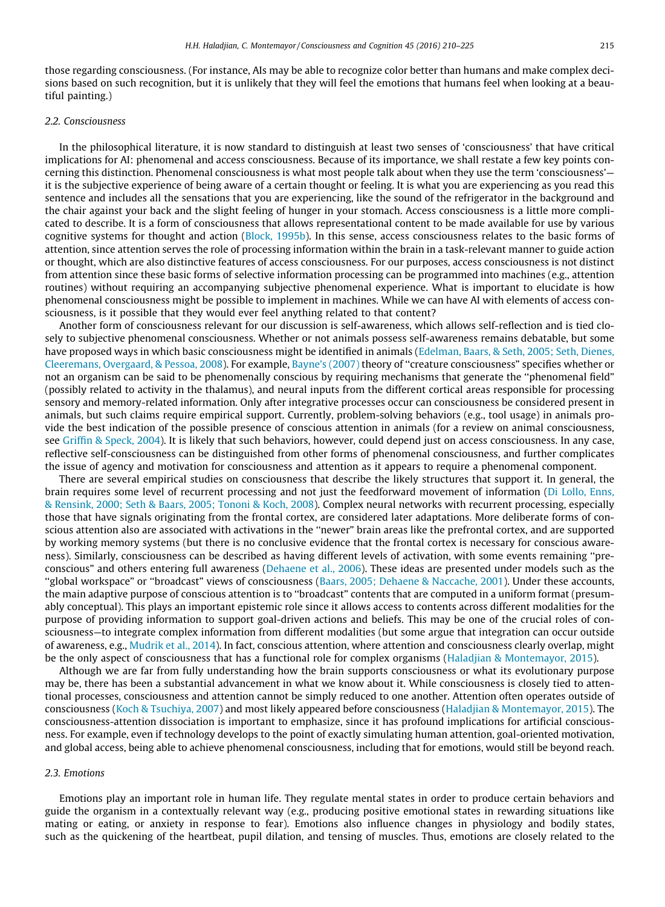those regarding consciousness. (For instance, AIs may be able to recognize color better than humans and make complex decisions based on such recognition, but it is unlikely that they will feel the emotions that humans feel when looking at a beautiful painting.)

#### 2.2. Consciousness

In the philosophical literature, it is now standard to distinguish at least two senses of 'consciousness' that have critical implications for AI: phenomenal and access consciousness. Because of its importance, we shall restate a few key points concerning this distinction. Phenomenal consciousness is what most people talk about when they use the term 'consciousness' it is the subjective experience of being aware of a certain thought or feeling. It is what you are experiencing as you read this sentence and includes all the sensations that you are experiencing, like the sound of the refrigerator in the background and the chair against your back and the slight feeling of hunger in your stomach. Access consciousness is a little more complicated to describe. It is a form of consciousness that allows representational content to be made available for use by various cognitive systems for thought and action ([Block, 1995b](#page-13-0)). In this sense, access consciousness relates to the basic forms of attention, since attention serves the role of processing information within the brain in a task-relevant manner to guide action or thought, which are also distinctive features of access consciousness. For our purposes, access consciousness is not distinct from attention since these basic forms of selective information processing can be programmed into machines (e.g., attention routines) without requiring an accompanying subjective phenomenal experience. What is important to elucidate is how phenomenal consciousness might be possible to implement in machines. While we can have AI with elements of access consciousness, is it possible that they would ever feel anything related to that content?

Another form of consciousness relevant for our discussion is self-awareness, which allows self-reflection and is tied closely to subjective phenomenal consciousness. Whether or not animals possess self-awareness remains debatable, but some have proposed ways in which basic consciousness might be identified in animals ([Edelman, Baars, & Seth, 2005; Seth, Dienes,](#page-13-0) [Cleeremans, Overgaard, & Pessoa, 2008](#page-13-0)). For example, [Bayne's \(2007\)](#page-13-0) theory of ''creature consciousness" specifies whether or not an organism can be said to be phenomenally conscious by requiring mechanisms that generate the ''phenomenal field" (possibly related to activity in the thalamus), and neural inputs from the different cortical areas responsible for processing sensory and memory-related information. Only after integrative processes occur can consciousness be considered present in animals, but such claims require empirical support. Currently, problem-solving behaviors (e.g., tool usage) in animals provide the best indication of the possible presence of conscious attention in animals (for a review on animal consciousness, see [Griffin & Speck, 2004](#page-13-0)). It is likely that such behaviors, however, could depend just on access consciousness. In any case, reflective self-consciousness can be distinguished from other forms of phenomenal consciousness, and further complicates the issue of agency and motivation for consciousness and attention as it appears to require a phenomenal component.

There are several empirical studies on consciousness that describe the likely structures that support it. In general, the brain requires some level of recurrent processing and not just the feedforward movement of information ([Di Lollo, Enns,](#page-13-0) [& Rensink, 2000; Seth & Baars, 2005; Tononi & Koch, 2008](#page-13-0)). Complex neural networks with recurrent processing, especially those that have signals originating from the frontal cortex, are considered later adaptations. More deliberate forms of conscious attention also are associated with activations in the ''newer" brain areas like the prefrontal cortex, and are supported by working memory systems (but there is no conclusive evidence that the frontal cortex is necessary for conscious awareness). Similarly, consciousness can be described as having different levels of activation, with some events remaining ''preconscious" and others entering full awareness [\(Dehaene et al., 2006\)](#page-13-0). These ideas are presented under models such as the ''global workspace" or ''broadcast" views of consciousness ([Baars, 2005; Dehaene & Naccache, 2001](#page-13-0)). Under these accounts, the main adaptive purpose of conscious attention is to ''broadcast" contents that are computed in a uniform format (presumably conceptual). This plays an important epistemic role since it allows access to contents across different modalities for the purpose of providing information to support goal-driven actions and beliefs. This may be one of the crucial roles of consciousness—to integrate complex information from different modalities (but some argue that integration can occur outside of awareness, e.g., [Mudrik et al., 2014\)](#page-14-0). In fact, conscious attention, where attention and consciousness clearly overlap, might be the only aspect of consciousness that has a functional role for complex organisms [\(Haladjian & Montemayor, 2015\)](#page-13-0).

Although we are far from fully understanding how the brain supports consciousness or what its evolutionary purpose may be, there has been a substantial advancement in what we know about it. While consciousness is closely tied to attentional processes, consciousness and attention cannot be simply reduced to one another. Attention often operates outside of consciousness [\(Koch & Tsuchiya, 2007](#page-14-0)) and most likely appeared before consciousness [\(Haladjian & Montemayor, 2015](#page-13-0)). The consciousness-attention dissociation is important to emphasize, since it has profound implications for artificial consciousness. For example, even if technology develops to the point of exactly simulating human attention, goal-oriented motivation, and global access, being able to achieve phenomenal consciousness, including that for emotions, would still be beyond reach.

#### 2.3. Emotions

Emotions play an important role in human life. They regulate mental states in order to produce certain behaviors and guide the organism in a contextually relevant way (e.g., producing positive emotional states in rewarding situations like mating or eating, or anxiety in response to fear). Emotions also influence changes in physiology and bodily states, such as the quickening of the heartbeat, pupil dilation, and tensing of muscles. Thus, emotions are closely related to the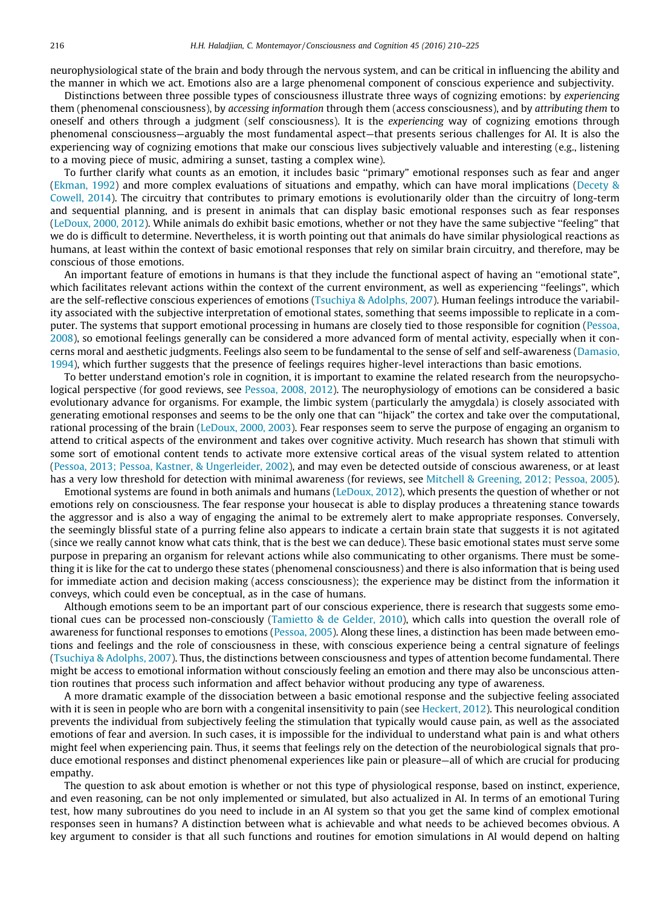neurophysiological state of the brain and body through the nervous system, and can be critical in influencing the ability and the manner in which we act. Emotions also are a large phenomenal component of conscious experience and subjectivity.

Distinctions between three possible types of consciousness illustrate three ways of cognizing emotions: by experiencing them (phenomenal consciousness), by accessing information through them (access consciousness), and by attributing them to oneself and others through a judgment (self consciousness). It is the experiencing way of cognizing emotions through phenomenal consciousness—arguably the most fundamental aspect—that presents serious challenges for AI. It is also the experiencing way of cognizing emotions that make our conscious lives subjectively valuable and interesting (e.g., listening to a moving piece of music, admiring a sunset, tasting a complex wine).

To further clarify what counts as an emotion, it includes basic ''primary" emotional responses such as fear and anger [\(Ekman, 1992](#page-13-0)) and more complex evaluations of situations and empathy, which can have moral implications ([Decety &](#page-13-0) [Cowell, 2014\)](#page-13-0). The circuitry that contributes to primary emotions is evolutionarily older than the circuitry of long-term and sequential planning, and is present in animals that can display basic emotional responses such as fear responses [\(LeDoux, 2000, 2012](#page-14-0)). While animals do exhibit basic emotions, whether or not they have the same subjective ''feeling" that we do is difficult to determine. Nevertheless, it is worth pointing out that animals do have similar physiological reactions as humans, at least within the context of basic emotional responses that rely on similar brain circuitry, and therefore, may be conscious of those emotions.

An important feature of emotions in humans is that they include the functional aspect of having an ''emotional state", which facilitates relevant actions within the context of the current environment, as well as experiencing ''feelings", which are the self-reflective conscious experiences of emotions [\(Tsuchiya & Adolphs, 2007\)](#page-15-0). Human feelings introduce the variability associated with the subjective interpretation of emotional states, something that seems impossible to replicate in a computer. The systems that support emotional processing in humans are closely tied to those responsible for cognition ([Pessoa,](#page-14-0) [2008](#page-14-0)), so emotional feelings generally can be considered a more advanced form of mental activity, especially when it concerns moral and aesthetic judgments. Feelings also seem to be fundamental to the sense of self and self-awareness ([Damasio,](#page-13-0) [1994](#page-13-0)), which further suggests that the presence of feelings requires higher-level interactions than basic emotions.

To better understand emotion's role in cognition, it is important to examine the related research from the neuropsychological perspective (for good reviews, see [Pessoa, 2008, 2012\)](#page-14-0). The neurophysiology of emotions can be considered a basic evolutionary advance for organisms. For example, the limbic system (particularly the amygdala) is closely associated with generating emotional responses and seems to be the only one that can ''hijack" the cortex and take over the computational, rational processing of the brain [\(LeDoux, 2000, 2003\)](#page-14-0). Fear responses seem to serve the purpose of engaging an organism to attend to critical aspects of the environment and takes over cognitive activity. Much research has shown that stimuli with some sort of emotional content tends to activate more extensive cortical areas of the visual system related to attention [\(Pessoa, 2013; Pessoa, Kastner, & Ungerleider, 2002](#page-14-0)), and may even be detected outside of conscious awareness, or at least has a very low threshold for detection with minimal awareness (for reviews, see [Mitchell & Greening, 2012; Pessoa, 2005](#page-14-0)).

Emotional systems are found in both animals and humans ([LeDoux, 2012\)](#page-14-0), which presents the question of whether or not emotions rely on consciousness. The fear response your housecat is able to display produces a threatening stance towards the aggressor and is also a way of engaging the animal to be extremely alert to make appropriate responses. Conversely, the seemingly blissful state of a purring feline also appears to indicate a certain brain state that suggests it is not agitated (since we really cannot know what cats think, that is the best we can deduce). These basic emotional states must serve some purpose in preparing an organism for relevant actions while also communicating to other organisms. There must be something it is like for the cat to undergo these states (phenomenal consciousness) and there is also information that is being used for immediate action and decision making (access consciousness); the experience may be distinct from the information it conveys, which could even be conceptual, as in the case of humans.

Although emotions seem to be an important part of our conscious experience, there is research that suggests some emotional cues can be processed non-consciously ([Tamietto & de Gelder, 2010\)](#page-15-0), which calls into question the overall role of awareness for functional responses to emotions ([Pessoa, 2005](#page-14-0)). Along these lines, a distinction has been made between emotions and feelings and the role of consciousness in these, with conscious experience being a central signature of feelings [\(Tsuchiya & Adolphs, 2007](#page-15-0)). Thus, the distinctions between consciousness and types of attention become fundamental. There might be access to emotional information without consciously feeling an emotion and there may also be unconscious attention routines that process such information and affect behavior without producing any type of awareness.

A more dramatic example of the dissociation between a basic emotional response and the subjective feeling associated with it is seen in people who are born with a congenital insensitivity to pain (see [Heckert, 2012](#page-13-0)). This neurological condition prevents the individual from subjectively feeling the stimulation that typically would cause pain, as well as the associated emotions of fear and aversion. In such cases, it is impossible for the individual to understand what pain is and what others might feel when experiencing pain. Thus, it seems that feelings rely on the detection of the neurobiological signals that produce emotional responses and distinct phenomenal experiences like pain or pleasure—all of which are crucial for producing empathy.

The question to ask about emotion is whether or not this type of physiological response, based on instinct, experience, and even reasoning, can be not only implemented or simulated, but also actualized in AI. In terms of an emotional Turing test, how many subroutines do you need to include in an AI system so that you get the same kind of complex emotional responses seen in humans? A distinction between what is achievable and what needs to be achieved becomes obvious. A key argument to consider is that all such functions and routines for emotion simulations in AI would depend on halting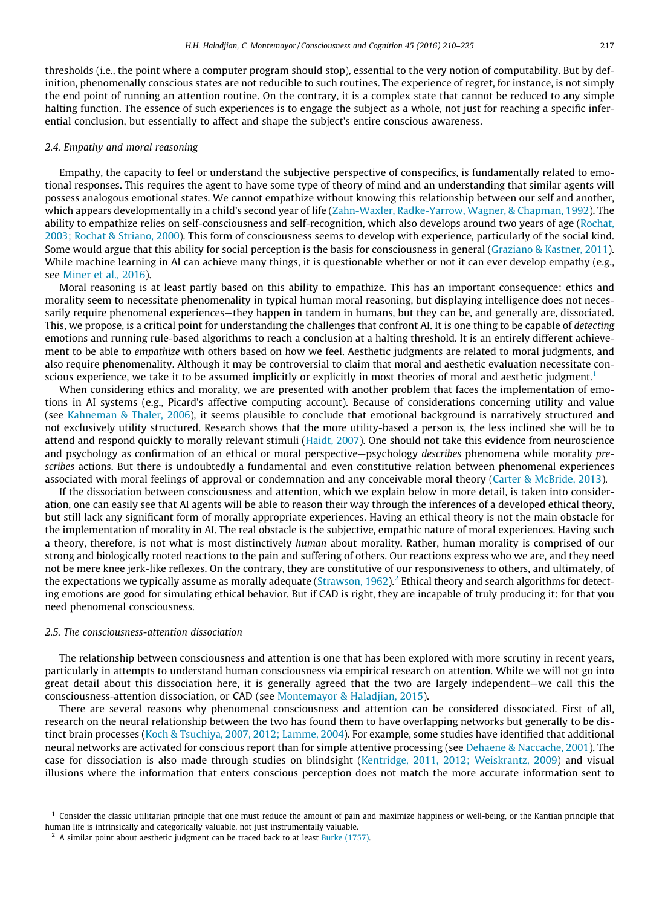ential conclusion, but essentially to affect and shape the subject's entire conscious awareness.

thresholds (i.e., the point where a computer program should stop), essential to the very notion of computability. But by definition, phenomenally conscious states are not reducible to such routines. The experience of regret, for instance, is not simply the end point of running an attention routine. On the contrary, it is a complex state that cannot be reduced to any simple halting function. The essence of such experiences is to engage the subject as a whole, not just for reaching a specific infer-

#### 2.4. Empathy and moral reasoning

Empathy, the capacity to feel or understand the subjective perspective of conspecifics, is fundamentally related to emotional responses. This requires the agent to have some type of theory of mind and an understanding that similar agents will possess analogous emotional states. We cannot empathize without knowing this relationship between our self and another, which appears developmentally in a child's second year of life [\(Zahn-Waxler, Radke-Yarrow, Wagner, & Chapman, 1992\)](#page-15-0). The ability to empathize relies on self-consciousness and self-recognition, which also develops around two years of age [\(Rochat,](#page-15-0) [2003; Rochat & Striano, 2000\)](#page-15-0). This form of consciousness seems to develop with experience, particularly of the social kind. Some would argue that this ability for social perception is the basis for consciousness in general ([Graziano & Kastner, 2011](#page-13-0)). While machine learning in AI can achieve many things, it is questionable whether or not it can ever develop empathy (e.g., see [Miner et al., 2016](#page-14-0)).

Moral reasoning is at least partly based on this ability to empathize. This has an important consequence: ethics and morality seem to necessitate phenomenality in typical human moral reasoning, but displaying intelligence does not necessarily require phenomenal experiences—they happen in tandem in humans, but they can be, and generally are, dissociated. This, we propose, is a critical point for understanding the challenges that confront AI. It is one thing to be capable of detecting emotions and running rule-based algorithms to reach a conclusion at a halting threshold. It is an entirely different achievement to be able to empathize with others based on how we feel. Aesthetic judgments are related to moral judgments, and also require phenomenality. Although it may be controversial to claim that moral and aesthetic evaluation necessitate conscious experience, we take it to be assumed implicitly or explicitly in most theories of moral and aesthetic judgment.<sup>1</sup>

When considering ethics and morality, we are presented with another problem that faces the implementation of emotions in AI systems (e.g., Picard's affective computing account). Because of considerations concerning utility and value (see [Kahneman & Thaler, 2006\)](#page-14-0), it seems plausible to conclude that emotional background is narratively structured and not exclusively utility structured. Research shows that the more utility-based a person is, the less inclined she will be to attend and respond quickly to morally relevant stimuli [\(Haidt, 2007](#page-13-0)). One should not take this evidence from neuroscience and psychology as confirmation of an ethical or moral perspective—psychology describes phenomena while morality prescribes actions. But there is undoubtedly a fundamental and even constitutive relation between phenomenal experiences associated with moral feelings of approval or condemnation and any conceivable moral theory ([Carter & McBride, 2013\)](#page-13-0).

If the dissociation between consciousness and attention, which we explain below in more detail, is taken into consideration, one can easily see that AI agents will be able to reason their way through the inferences of a developed ethical theory, but still lack any significant form of morally appropriate experiences. Having an ethical theory is not the main obstacle for the implementation of morality in AI. The real obstacle is the subjective, empathic nature of moral experiences. Having such a theory, therefore, is not what is most distinctively human about morality. Rather, human morality is comprised of our strong and biologically rooted reactions to the pain and suffering of others. Our reactions express who we are, and they need not be mere knee jerk-like reflexes. On the contrary, they are constitutive of our responsiveness to others, and ultimately, of the expectations we typically assume as morally adequate [\(Strawson, 1962](#page-15-0)).<sup>2</sup> Ethical theory and search algorithms for detecting emotions are good for simulating ethical behavior. But if CAD is right, they are incapable of truly producing it: for that you need phenomenal consciousness.

#### 2.5. The consciousness-attention dissociation

The relationship between consciousness and attention is one that has been explored with more scrutiny in recent years, particularly in attempts to understand human consciousness via empirical research on attention. While we will not go into great detail about this dissociation here, it is generally agreed that the two are largely independent—we call this the consciousness-attention dissociation, or CAD (see [Montemayor & Haladjian, 2015\)](#page-14-0).

There are several reasons why phenomenal consciousness and attention can be considered dissociated. First of all, research on the neural relationship between the two has found them to have overlapping networks but generally to be distinct brain processes [\(Koch & Tsuchiya, 2007, 2012; Lamme, 2004\)](#page-14-0). For example, some studies have identified that additional neural networks are activated for conscious report than for simple attentive processing (see [Dehaene & Naccache, 2001](#page-13-0)). The case for dissociation is also made through studies on blindsight ([Kentridge, 2011, 2012; Weiskrantz, 2009](#page-14-0)) and visual illusions where the information that enters conscious perception does not match the more accurate information sent to

 $<sup>1</sup>$  Consider the classic utilitarian principle that one must reduce the amount of pain and maximize happiness or well-being, or the Kantian principle that</sup> human life is intrinsically and categorically valuable, not just instrumentally valuable.

 $2\,$  A similar point about aesthetic judgment can be traced back to at least [Burke \(1757\)](#page-13-0).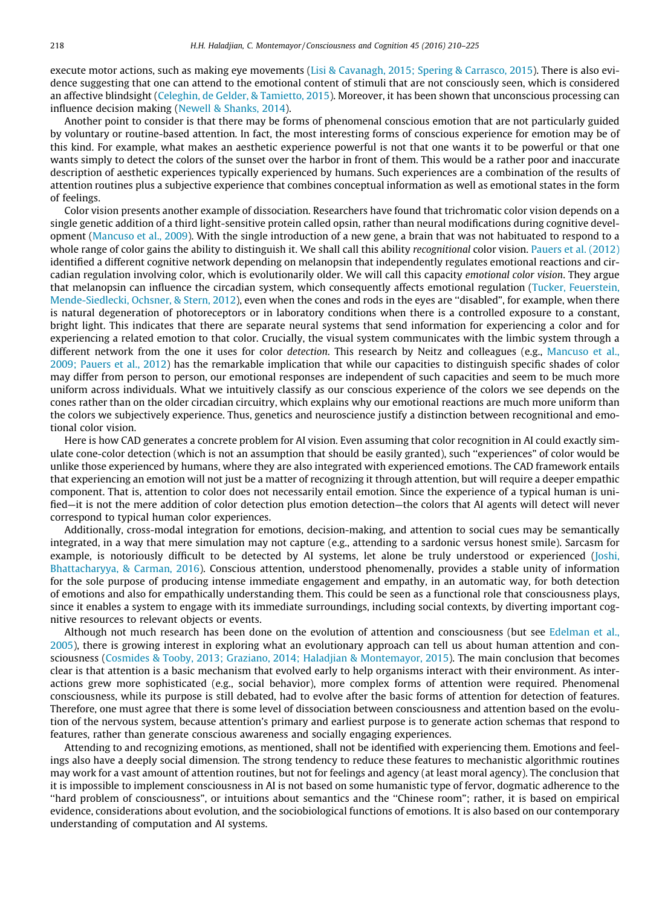execute motor actions, such as making eye movements [\(Lisi & Cavanagh, 2015; Spering & Carrasco, 2015](#page-14-0)). There is also evidence suggesting that one can attend to the emotional content of stimuli that are not consciously seen, which is considered an affective blindsight [\(Celeghin, de Gelder, & Tamietto, 2015\)](#page-13-0). Moreover, it has been shown that unconscious processing can influence decision making [\(Newell & Shanks, 2014\)](#page-14-0).

Another point to consider is that there may be forms of phenomenal conscious emotion that are not particularly guided by voluntary or routine-based attention. In fact, the most interesting forms of conscious experience for emotion may be of this kind. For example, what makes an aesthetic experience powerful is not that one wants it to be powerful or that one wants simply to detect the colors of the sunset over the harbor in front of them. This would be a rather poor and inaccurate description of aesthetic experiences typically experienced by humans. Such experiences are a combination of the results of attention routines plus a subjective experience that combines conceptual information as well as emotional states in the form of feelings.

Color vision presents another example of dissociation. Researchers have found that trichromatic color vision depends on a single genetic addition of a third light-sensitive protein called opsin, rather than neural modifications during cognitive development ([Mancuso et al., 2009\)](#page-14-0). With the single introduction of a new gene, a brain that was not habituated to respond to a whole range of color gains the ability to distinguish it. We shall call this ability recognitional color vision. [Pauers et al. \(2012\)](#page-14-0) identified a different cognitive network depending on melanopsin that independently regulates emotional reactions and circadian regulation involving color, which is evolutionarily older. We will call this capacity emotional color vision. They argue that melanopsin can influence the circadian system, which consequently affects emotional regulation ([Tucker, Feuerstein,](#page-15-0) [Mende-Siedlecki, Ochsner, & Stern, 2012](#page-15-0)), even when the cones and rods in the eyes are ''disabled", for example, when there is natural degeneration of photoreceptors or in laboratory conditions when there is a controlled exposure to a constant, bright light. This indicates that there are separate neural systems that send information for experiencing a color and for experiencing a related emotion to that color. Crucially, the visual system communicates with the limbic system through a different network from the one it uses for color *detection*. This research by Neitz and colleagues (e.g., [Mancuso et al.,](#page-14-0) [2009; Pauers et al., 2012](#page-14-0)) has the remarkable implication that while our capacities to distinguish specific shades of color may differ from person to person, our emotional responses are independent of such capacities and seem to be much more uniform across individuals. What we intuitively classify as our conscious experience of the colors we see depends on the cones rather than on the older circadian circuitry, which explains why our emotional reactions are much more uniform than the colors we subjectively experience. Thus, genetics and neuroscience justify a distinction between recognitional and emotional color vision.

Here is how CAD generates a concrete problem for AI vision. Even assuming that color recognition in AI could exactly simulate cone-color detection (which is not an assumption that should be easily granted), such ''experiences" of color would be unlike those experienced by humans, where they are also integrated with experienced emotions. The CAD framework entails that experiencing an emotion will not just be a matter of recognizing it through attention, but will require a deeper empathic component. That is, attention to color does not necessarily entail emotion. Since the experience of a typical human is unified—it is not the mere addition of color detection plus emotion detection—the colors that AI agents will detect will never correspond to typical human color experiences.

Additionally, cross-modal integration for emotions, decision-making, and attention to social cues may be semantically integrated, in a way that mere simulation may not capture (e.g., attending to a sardonic versus honest smile). Sarcasm for example, is notoriously difficult to be detected by AI systems, let alone be truly understood or experienced [\(Joshi,](#page-14-0) [Bhattacharyya, & Carman, 2016](#page-14-0)). Conscious attention, understood phenomenally, provides a stable unity of information for the sole purpose of producing intense immediate engagement and empathy, in an automatic way, for both detection of emotions and also for empathically understanding them. This could be seen as a functional role that consciousness plays, since it enables a system to engage with its immediate surroundings, including social contexts, by diverting important cognitive resources to relevant objects or events.

Although not much research has been done on the evolution of attention and consciousness (but see [Edelman et al.,](#page-13-0) [2005](#page-13-0)), there is growing interest in exploring what an evolutionary approach can tell us about human attention and consciousness ([Cosmides & Tooby, 2013; Graziano, 2014; Haladjian & Montemayor, 2015\)](#page-13-0). The main conclusion that becomes clear is that attention is a basic mechanism that evolved early to help organisms interact with their environment. As interactions grew more sophisticated (e.g., social behavior), more complex forms of attention were required. Phenomenal consciousness, while its purpose is still debated, had to evolve after the basic forms of attention for detection of features. Therefore, one must agree that there is some level of dissociation between consciousness and attention based on the evolution of the nervous system, because attention's primary and earliest purpose is to generate action schemas that respond to features, rather than generate conscious awareness and socially engaging experiences.

Attending to and recognizing emotions, as mentioned, shall not be identified with experiencing them. Emotions and feelings also have a deeply social dimension. The strong tendency to reduce these features to mechanistic algorithmic routines may work for a vast amount of attention routines, but not for feelings and agency (at least moral agency). The conclusion that it is impossible to implement consciousness in AI is not based on some humanistic type of fervor, dogmatic adherence to the ''hard problem of consciousness", or intuitions about semantics and the ''Chinese room"; rather, it is based on empirical evidence, considerations about evolution, and the sociobiological functions of emotions. It is also based on our contemporary understanding of computation and AI systems.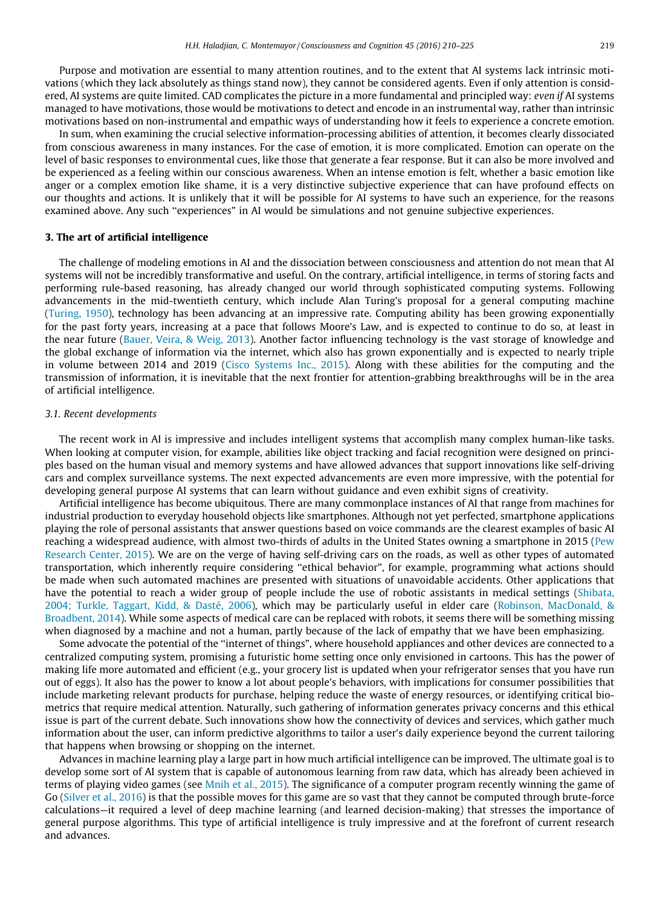Purpose and motivation are essential to many attention routines, and to the extent that AI systems lack intrinsic motivations (which they lack absolutely as things stand now), they cannot be considered agents. Even if only attention is considered, AI systems are quite limited. CAD complicates the picture in a more fundamental and principled way: even if AI systems managed to have motivations, those would be motivations to detect and encode in an instrumental way, rather than intrinsic motivations based on non-instrumental and empathic ways of understanding how it feels to experience a concrete emotion.

In sum, when examining the crucial selective information-processing abilities of attention, it becomes clearly dissociated from conscious awareness in many instances. For the case of emotion, it is more complicated. Emotion can operate on the level of basic responses to environmental cues, like those that generate a fear response. But it can also be more involved and be experienced as a feeling within our conscious awareness. When an intense emotion is felt, whether a basic emotion like anger or a complex emotion like shame, it is a very distinctive subjective experience that can have profound effects on our thoughts and actions. It is unlikely that it will be possible for AI systems to have such an experience, for the reasons examined above. Any such "experiences" in AI would be simulations and not genuine subjective experiences.

#### 3. The art of artificial intelligence

The challenge of modeling emotions in AI and the dissociation between consciousness and attention do not mean that AI systems will not be incredibly transformative and useful. On the contrary, artificial intelligence, in terms of storing facts and performing rule-based reasoning, has already changed our world through sophisticated computing systems. Following advancements in the mid-twentieth century, which include Alan Turing's proposal for a general computing machine ([Turing, 1950\)](#page-15-0), technology has been advancing at an impressive rate. Computing ability has been growing exponentially for the past forty years, increasing at a pace that follows Moore's Law, and is expected to continue to do so, at least in the near future [\(Bauer, Veira, & Weig, 2013\)](#page-13-0). Another factor influencing technology is the vast storage of knowledge and the global exchange of information via the internet, which also has grown exponentially and is expected to nearly triple in volume between 2014 and 2019 ([Cisco Systems Inc., 2015\)](#page-13-0). Along with these abilities for the computing and the transmission of information, it is inevitable that the next frontier for attention-grabbing breakthroughs will be in the area of artificial intelligence.

#### 3.1. Recent developments

The recent work in AI is impressive and includes intelligent systems that accomplish many complex human-like tasks. When looking at computer vision, for example, abilities like object tracking and facial recognition were designed on principles based on the human visual and memory systems and have allowed advances that support innovations like self-driving cars and complex surveillance systems. The next expected advancements are even more impressive, with the potential for developing general purpose AI systems that can learn without guidance and even exhibit signs of creativity.

Artificial intelligence has become ubiquitous. There are many commonplace instances of AI that range from machines for industrial production to everyday household objects like smartphones. Although not yet perfected, smartphone applications playing the role of personal assistants that answer questions based on voice commands are the clearest examples of basic AI reaching a widespread audience, with almost two-thirds of adults in the United States owning a smartphone in 2015 [\(Pew](#page-14-0) [Research Center, 2015\)](#page-14-0). We are on the verge of having self-driving cars on the roads, as well as other types of automated transportation, which inherently require considering ''ethical behavior", for example, programming what actions should be made when such automated machines are presented with situations of unavoidable accidents. Other applications that have the potential to reach a wider group of people include the use of robotic assistants in medical settings [\(Shibata,](#page-15-0) [2004; Turkle, Taggart, Kidd, & Dasté, 2006\)](#page-15-0), which may be particularly useful in elder care ([Robinson, MacDonald, &](#page-15-0) [Broadbent, 2014\)](#page-15-0). While some aspects of medical care can be replaced with robots, it seems there will be something missing when diagnosed by a machine and not a human, partly because of the lack of empathy that we have been emphasizing.

Some advocate the potential of the ''internet of things", where household appliances and other devices are connected to a centralized computing system, promising a futuristic home setting once only envisioned in cartoons. This has the power of making life more automated and efficient (e.g., your grocery list is updated when your refrigerator senses that you have run out of eggs). It also has the power to know a lot about people's behaviors, with implications for consumer possibilities that include marketing relevant products for purchase, helping reduce the waste of energy resources, or identifying critical biometrics that require medical attention. Naturally, such gathering of information generates privacy concerns and this ethical issue is part of the current debate. Such innovations show how the connectivity of devices and services, which gather much information about the user, can inform predictive algorithms to tailor a user's daily experience beyond the current tailoring that happens when browsing or shopping on the internet.

Advances in machine learning play a large part in how much artificial intelligence can be improved. The ultimate goal is to develop some sort of AI system that is capable of autonomous learning from raw data, which has already been achieved in terms of playing video games (see [Mnih et al., 2015\)](#page-14-0). The significance of a computer program recently winning the game of Go [\(Silver et al., 2016](#page-15-0)) is that the possible moves for this game are so vast that they cannot be computed through brute-force calculations—it required a level of deep machine learning (and learned decision-making) that stresses the importance of general purpose algorithms. This type of artificial intelligence is truly impressive and at the forefront of current research and advances.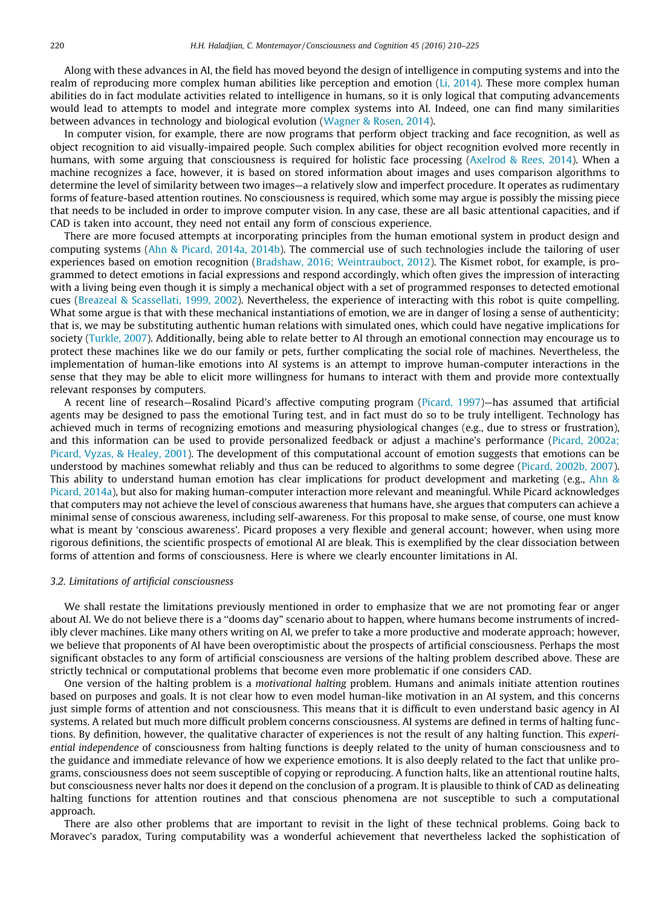Along with these advances in AI, the field has moved beyond the design of intelligence in computing systems and into the realm of reproducing more complex human abilities like perception and emotion ([Li, 2014](#page-14-0)). These more complex human abilities do in fact modulate activities related to intelligence in humans, so it is only logical that computing advancements would lead to attempts to model and integrate more complex systems into AI. Indeed, one can find many similarities between advances in technology and biological evolution [\(Wagner & Rosen, 2014\)](#page-15-0).

In computer vision, for example, there are now programs that perform object tracking and face recognition, as well as object recognition to aid visually-impaired people. Such complex abilities for object recognition evolved more recently in humans, with some arguing that consciousness is required for holistic face processing ([Axelrod & Rees, 2014\)](#page-13-0). When a machine recognizes a face, however, it is based on stored information about images and uses comparison algorithms to determine the level of similarity between two images—a relatively slow and imperfect procedure. It operates as rudimentary forms of feature-based attention routines. No consciousness is required, which some may argue is possibly the missing piece that needs to be included in order to improve computer vision. In any case, these are all basic attentional capacities, and if CAD is taken into account, they need not entail any form of conscious experience.

There are more focused attempts at incorporating principles from the human emotional system in product design and computing systems ([Ahn & Picard, 2014a, 2014b](#page-13-0)). The commercial use of such technologies include the tailoring of user experiences based on emotion recognition ([Bradshaw, 2016; Weintrauboct, 2012](#page-13-0)). The Kismet robot, for example, is programmed to detect emotions in facial expressions and respond accordingly, which often gives the impression of interacting with a living being even though it is simply a mechanical object with a set of programmed responses to detected emotional cues [\(Breazeal & Scassellati, 1999, 2002\)](#page-13-0). Nevertheless, the experience of interacting with this robot is quite compelling. What some argue is that with these mechanical instantiations of emotion, we are in danger of losing a sense of authenticity; that is, we may be substituting authentic human relations with simulated ones, which could have negative implications for society [\(Turkle, 2007](#page-15-0)). Additionally, being able to relate better to AI through an emotional connection may encourage us to protect these machines like we do our family or pets, further complicating the social role of machines. Nevertheless, the implementation of human-like emotions into AI systems is an attempt to improve human-computer interactions in the sense that they may be able to elicit more willingness for humans to interact with them and provide more contextually relevant responses by computers.

A recent line of research—Rosalind Picard's affective computing program ([Picard, 1997\)](#page-14-0)—has assumed that artificial agents may be designed to pass the emotional Turing test, and in fact must do so to be truly intelligent. Technology has achieved much in terms of recognizing emotions and measuring physiological changes (e.g., due to stress or frustration), and this information can be used to provide personalized feedback or adjust a machine's performance [\(Picard, 2002a;](#page-14-0) [Picard, Vyzas, & Healey, 2001\)](#page-14-0). The development of this computational account of emotion suggests that emotions can be understood by machines somewhat reliably and thus can be reduced to algorithms to some degree [\(Picard, 2002b, 2007](#page-14-0)). This ability to understand human emotion has clear implications for product development and marketing (e.g., [Ahn &](#page-13-0) [Picard, 2014a\)](#page-13-0), but also for making human-computer interaction more relevant and meaningful. While Picard acknowledges that computers may not achieve the level of conscious awareness that humans have, she argues that computers can achieve a minimal sense of conscious awareness, including self-awareness. For this proposal to make sense, of course, one must know what is meant by 'conscious awareness'. Picard proposes a very flexible and general account; however, when using more rigorous definitions, the scientific prospects of emotional AI are bleak. This is exemplified by the clear dissociation between forms of attention and forms of consciousness. Here is where we clearly encounter limitations in AI.

#### 3.2. Limitations of artificial consciousness

We shall restate the limitations previously mentioned in order to emphasize that we are not promoting fear or anger about AI. We do not believe there is a ''dooms day" scenario about to happen, where humans become instruments of incredibly clever machines. Like many others writing on AI, we prefer to take a more productive and moderate approach; however, we believe that proponents of AI have been overoptimistic about the prospects of artificial consciousness. Perhaps the most significant obstacles to any form of artificial consciousness are versions of the halting problem described above. These are strictly technical or computational problems that become even more problematic if one considers CAD.

One version of the halting problem is a motivational halting problem. Humans and animals initiate attention routines based on purposes and goals. It is not clear how to even model human-like motivation in an AI system, and this concerns just simple forms of attention and not consciousness. This means that it is difficult to even understand basic agency in AI systems. A related but much more difficult problem concerns consciousness. AI systems are defined in terms of halting functions. By definition, however, the qualitative character of experiences is not the result of any halting function. This experiential independence of consciousness from halting functions is deeply related to the unity of human consciousness and to the guidance and immediate relevance of how we experience emotions. It is also deeply related to the fact that unlike programs, consciousness does not seem susceptible of copying or reproducing. A function halts, like an attentional routine halts, but consciousness never halts nor does it depend on the conclusion of a program. It is plausible to think of CAD as delineating halting functions for attention routines and that conscious phenomena are not susceptible to such a computational approach.

There are also other problems that are important to revisit in the light of these technical problems. Going back to Moravec's paradox, Turing computability was a wonderful achievement that nevertheless lacked the sophistication of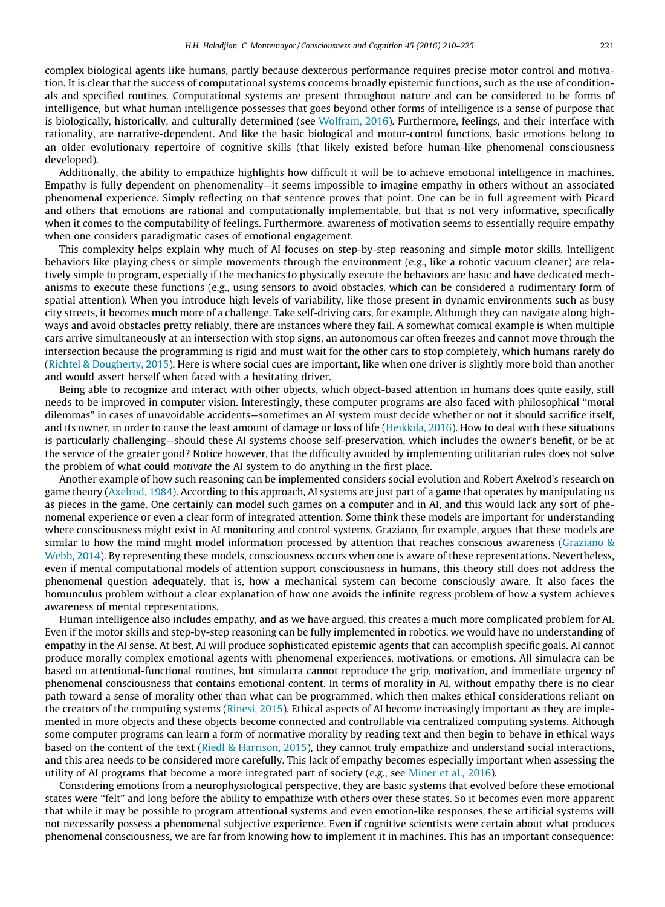complex biological agents like humans, partly because dexterous performance requires precise motor control and motivation. It is clear that the success of computational systems concerns broadly epistemic functions, such as the use of conditionals and specified routines. Computational systems are present throughout nature and can be considered to be forms of intelligence, but what human intelligence possesses that goes beyond other forms of intelligence is a sense of purpose that is biologically, historically, and culturally determined (see [Wolfram, 2016](#page-15-0)). Furthermore, feelings, and their interface with rationality, are narrative-dependent. And like the basic biological and motor-control functions, basic emotions belong to an older evolutionary repertoire of cognitive skills (that likely existed before human-like phenomenal consciousness developed).

Additionally, the ability to empathize highlights how difficult it will be to achieve emotional intelligence in machines. Empathy is fully dependent on phenomenality—it seems impossible to imagine empathy in others without an associated phenomenal experience. Simply reflecting on that sentence proves that point. One can be in full agreement with Picard and others that emotions are rational and computationally implementable, but that is not very informative, specifically when it comes to the computability of feelings. Furthermore, awareness of motivation seems to essentially require empathy when one considers paradigmatic cases of emotional engagement.

This complexity helps explain why much of AI focuses on step-by-step reasoning and simple motor skills. Intelligent behaviors like playing chess or simple movements through the environment (e.g., like a robotic vacuum cleaner) are relatively simple to program, especially if the mechanics to physically execute the behaviors are basic and have dedicated mechanisms to execute these functions (e.g., using sensors to avoid obstacles, which can be considered a rudimentary form of spatial attention). When you introduce high levels of variability, like those present in dynamic environments such as busy city streets, it becomes much more of a challenge. Take self-driving cars, for example. Although they can navigate along highways and avoid obstacles pretty reliably, there are instances where they fail. A somewhat comical example is when multiple cars arrive simultaneously at an intersection with stop signs, an autonomous car often freezes and cannot move through the intersection because the programming is rigid and must wait for the other cars to stop completely, which humans rarely do ([Richtel & Dougherty, 2015](#page-15-0)). Here is where social cues are important, like when one driver is slightly more bold than another and would assert herself when faced with a hesitating driver.

Being able to recognize and interact with other objects, which object-based attention in humans does quite easily, still needs to be improved in computer vision. Interestingly, these computer programs are also faced with philosophical ''moral dilemmas" in cases of unavoidable accidents—sometimes an AI system must decide whether or not it should sacrifice itself, and its owner, in order to cause the least amount of damage or loss of life [\(Heikkila, 2016\)](#page-13-0). How to deal with these situations is particularly challenging—should these AI systems choose self-preservation, which includes the owner's benefit, or be at the service of the greater good? Notice however, that the difficulty avoided by implementing utilitarian rules does not solve the problem of what could motivate the AI system to do anything in the first place.

Another example of how such reasoning can be implemented considers social evolution and Robert Axelrod's research on game theory ([Axelrod, 1984](#page-13-0)). According to this approach, AI systems are just part of a game that operates by manipulating us as pieces in the game. One certainly can model such games on a computer and in AI, and this would lack any sort of phenomenal experience or even a clear form of integrated attention. Some think these models are important for understanding where consciousness might exist in AI monitoring and control systems. Graziano, for example, argues that these models are similar to how the mind might model information processed by attention that reaches conscious awareness ([Graziano &](#page-13-0) [Webb, 2014](#page-13-0)). By representing these models, consciousness occurs when one is aware of these representations. Nevertheless, even if mental computational models of attention support consciousness in humans, this theory still does not address the phenomenal question adequately, that is, how a mechanical system can become consciously aware. It also faces the homunculus problem without a clear explanation of how one avoids the infinite regress problem of how a system achieves awareness of mental representations.

Human intelligence also includes empathy, and as we have argued, this creates a much more complicated problem for AI. Even if the motor skills and step-by-step reasoning can be fully implemented in robotics, we would have no understanding of empathy in the AI sense. At best, AI will produce sophisticated epistemic agents that can accomplish specific goals. AI cannot produce morally complex emotional agents with phenomenal experiences, motivations, or emotions. All simulacra can be based on attentional-functional routines, but simulacra cannot reproduce the grip, motivation, and immediate urgency of phenomenal consciousness that contains emotional content. In terms of morality in AI, without empathy there is no clear path toward a sense of morality other than what can be programmed, which then makes ethical considerations reliant on the creators of the computing systems ([Rinesi, 2015\)](#page-15-0). Ethical aspects of AI become increasingly important as they are implemented in more objects and these objects become connected and controllable via centralized computing systems. Although some computer programs can learn a form of normative morality by reading text and then begin to behave in ethical ways based on the content of the text [\(Riedl & Harrison, 2015](#page-15-0)), they cannot truly empathize and understand social interactions, and this area needs to be considered more carefully. This lack of empathy becomes especially important when assessing the utility of AI programs that become a more integrated part of society (e.g., see [Miner et al., 2016](#page-14-0)).

Considering emotions from a neurophysiological perspective, they are basic systems that evolved before these emotional states were ''felt" and long before the ability to empathize with others over these states. So it becomes even more apparent that while it may be possible to program attentional systems and even emotion-like responses, these artificial systems will not necessarily possess a phenomenal subjective experience. Even if cognitive scientists were certain about what produces phenomenal consciousness, we are far from knowing how to implement it in machines. This has an important consequence: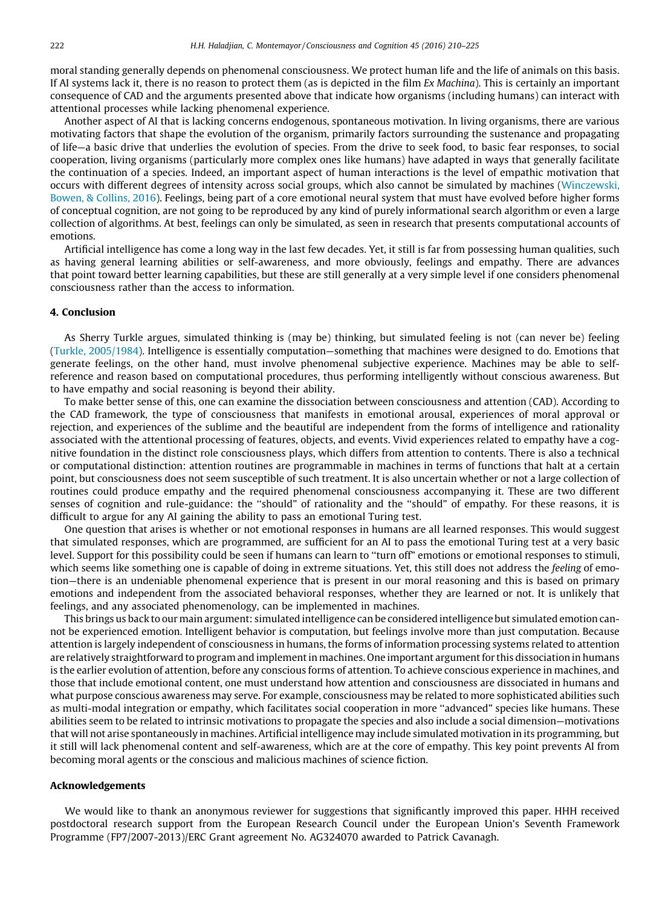moral standing generally depends on phenomenal consciousness. We protect human life and the life of animals on this basis. If AI systems lack it, there is no reason to protect them (as is depicted in the film Ex Machina). This is certainly an important consequence of CAD and the arguments presented above that indicate how organisms (including humans) can interact with attentional processes while lacking phenomenal experience.

Another aspect of AI that is lacking concerns endogenous, spontaneous motivation. In living organisms, there are various motivating factors that shape the evolution of the organism, primarily factors surrounding the sustenance and propagating of life—a basic drive that underlies the evolution of species. From the drive to seek food, to basic fear responses, to social cooperation, living organisms (particularly more complex ones like humans) have adapted in ways that generally facilitate the continuation of a species. Indeed, an important aspect of human interactions is the level of empathic motivation that occurs with different degrees of intensity across social groups, which also cannot be simulated by machines ([Winczewski,](#page-15-0) [Bowen, & Collins, 2016\)](#page-15-0). Feelings, being part of a core emotional neural system that must have evolved before higher forms of conceptual cognition, are not going to be reproduced by any kind of purely informational search algorithm or even a large collection of algorithms. At best, feelings can only be simulated, as seen in research that presents computational accounts of emotions.

Artificial intelligence has come a long way in the last few decades. Yet, it still is far from possessing human qualities, such as having general learning abilities or self-awareness, and more obviously, feelings and empathy. There are advances that point toward better learning capabilities, but these are still generally at a very simple level if one considers phenomenal consciousness rather than the access to information.

#### 4. Conclusion

As Sherry Turkle argues, simulated thinking is (may be) thinking, but simulated feeling is not (can never be) feeling [\(Turkle, 2005/1984](#page-15-0)). Intelligence is essentially computation—something that machines were designed to do. Emotions that generate feelings, on the other hand, must involve phenomenal subjective experience. Machines may be able to selfreference and reason based on computational procedures, thus performing intelligently without conscious awareness. But to have empathy and social reasoning is beyond their ability.

To make better sense of this, one can examine the dissociation between consciousness and attention (CAD). According to the CAD framework, the type of consciousness that manifests in emotional arousal, experiences of moral approval or rejection, and experiences of the sublime and the beautiful are independent from the forms of intelligence and rationality associated with the attentional processing of features, objects, and events. Vivid experiences related to empathy have a cognitive foundation in the distinct role consciousness plays, which differs from attention to contents. There is also a technical or computational distinction: attention routines are programmable in machines in terms of functions that halt at a certain point, but consciousness does not seem susceptible of such treatment. It is also uncertain whether or not a large collection of routines could produce empathy and the required phenomenal consciousness accompanying it. These are two different senses of cognition and rule-guidance: the ''should" of rationality and the ''should" of empathy. For these reasons, it is difficult to argue for any AI gaining the ability to pass an emotional Turing test.

One question that arises is whether or not emotional responses in humans are all learned responses. This would suggest that simulated responses, which are programmed, are sufficient for an AI to pass the emotional Turing test at a very basic level. Support for this possibility could be seen if humans can learn to ''turn off" emotions or emotional responses to stimuli, which seems like something one is capable of doing in extreme situations. Yet, this still does not address the feeling of emotion—there is an undeniable phenomenal experience that is present in our moral reasoning and this is based on primary emotions and independent from the associated behavioral responses, whether they are learned or not. It is unlikely that feelings, and any associated phenomenology, can be implemented in machines.

This brings us back to our main argument: simulated intelligence can be considered intelligence but simulated emotion cannot be experienced emotion. Intelligent behavior is computation, but feelings involve more than just computation. Because attention is largely independent of consciousness in humans, the forms of information processing systems related to attention are relatively straightforward to program and implement in machines. One important argument for this dissociation in humans is the earlier evolution of attention, before any conscious forms of attention. To achieve conscious experience in machines, and those that include emotional content, one must understand how attention and consciousness are dissociated in humans and what purpose conscious awareness may serve. For example, consciousness may be related to more sophisticated abilities such as multi-modal integration or empathy, which facilitates social cooperation in more ''advanced" species like humans. These abilities seem to be related to intrinsic motivations to propagate the species and also include a social dimension—motivations that will not arise spontaneously in machines. Artificial intelligence may include simulated motivation in its programming, but it still will lack phenomenal content and self-awareness, which are at the core of empathy. This key point prevents AI from becoming moral agents or the conscious and malicious machines of science fiction.

#### Acknowledgements

We would like to thank an anonymous reviewer for suggestions that significantly improved this paper. HHH received postdoctoral research support from the European Research Council under the European Union's Seventh Framework Programme (FP7/2007-2013)/ERC Grant agreement No. AG324070 awarded to Patrick Cavanagh.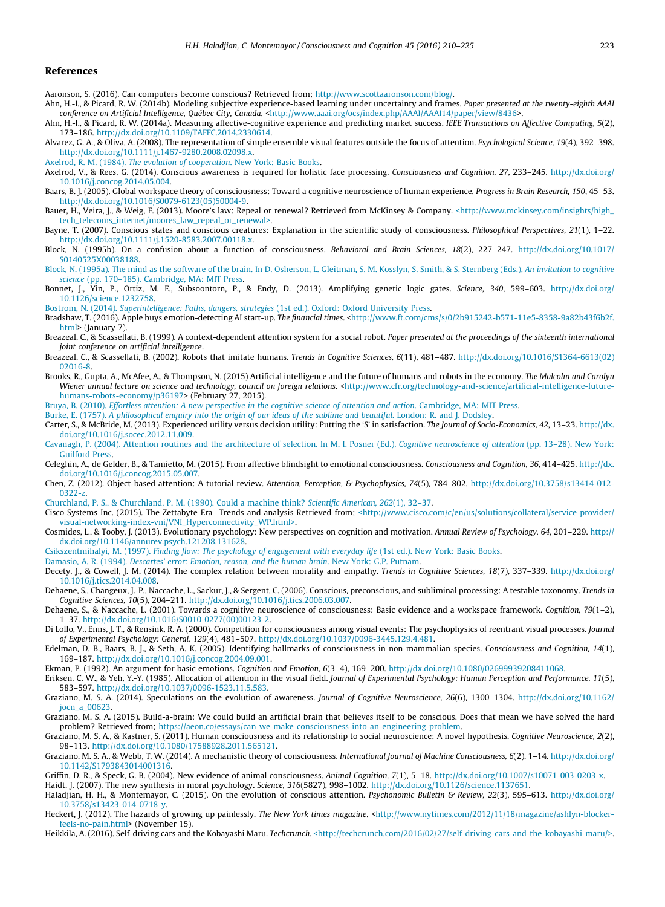#### <span id="page-13-0"></span>References

Aaronson, S. (2016). Can computers become conscious? Retrieved from; [http://www.scottaaronson.com/blog/.](http://www.scottaaronson.com/blog/)

- Ahn, H.-I., & Picard, R. W. (2014b). Modeling subjective experience-based learning under uncertainty and frames. Paper presented at the twenty-eighth AAAI conference on Artificial Intelligence, Québec City, Canada. [<http://www.aaai.org/ocs/index.php/AAAI/AAAI14/paper/view/8436](http://www.aaai.org/ocs/index.php/AAAI/AAAI14/paper/view/8436)>.
- Ahn, H.-I., & Picard, R. W. (2014a). Measuring affective-cognitive experience and predicting market success. IEEE Transactions on Affective Computing, 5(2), 173–186. [http://dx.doi.org/10.1109/TAFFC.2014.2330614.](http://dx.doi.org/10.1109/TAFFC.2014.2330614)
- Alvarez, G. A., & Oliva, A. (2008). The representation of simple ensemble visual features outside the focus of attention. Psychological Science, 19(4), 392–398. [http://dx.doi.org/10.1111/j.1467-9280.2008.02098.x.](http://dx.doi.org/10.1111/j.1467-9280.2008.02098.x)

Axelrod, R. M. (1984). [The evolution of cooperation](http://refhub.elsevier.com/S1053-8100(16)30181-7/h0025). New York: Basic Books.

- Axelrod, V., & Rees, G. (2014). Conscious awareness is required for holistic face processing. Consciousness and Cognition, 27, 233–245. [http://dx.doi.org/](http://dx.doi.org/10.1016/j.concog.2014.05.004) [10.1016/j.concog.2014.05.004.](http://dx.doi.org/10.1016/j.concog.2014.05.004)
- Baars, B. J. (2005). Global workspace theory of consciousness: Toward a cognitive neuroscience of human experience. Progress in Brain Research, 150, 45–53. [http://dx.doi.org/10.1016/S0079-6123\(05\)50004-9.](http://dx.doi.org/10.1016/S0079-6123(05)50004-9)
- Bauer, H., Veira, J., & Weig, F. (2013). Moore's law: Repeal or renewal? Retrieved from McKinsey & Company. [<http://www.mckinsey.com/insights/high\\_](http://www.mckinsey.com/insights/high_tech_telecoms_internet/moores_law_repeal_or_renewal) [tech\\_telecoms\\_internet/moores\\_law\\_repeal\\_or\\_renewal>.](http://www.mckinsey.com/insights/high_tech_telecoms_internet/moores_law_repeal_or_renewal)
- Bayne, T. (2007). Conscious states and conscious creatures: Explanation in the scientific study of consciousness. Philosophical Perspectives, 21(1), 1–22. [http://dx.doi.org/10.1111/j.1520-8583.2007.00118.x.](http://dx.doi.org/10.1111/j.1520-8583.2007.00118.x)
- Block, N. (1995b). On a confusion about a function of consciousness. Behavioral and Brain Sciences, 18(2), 227–247. [http://dx.doi.org/10.1017/](http://dx.doi.org/10.1017/S0140525X00038188) [S0140525X00038188](http://dx.doi.org/10.1017/S0140525X00038188).
- [Block, N. \(1995a\). The mind as the software of the brain. In D. Osherson, L. Gleitman, S. M. Kosslyn, S. Smith, & S. Sternberg \(Eds.\),](http://refhub.elsevier.com/S1053-8100(16)30181-7/h0055) An invitation to cognitive science [\(pp. 170–185\). Cambridge, MA: MIT Press.](http://refhub.elsevier.com/S1053-8100(16)30181-7/h0055)
- Bonnet, J., Yin, P., Ortiz, M. E., Subsoontorn, P., & Endy, D. (2013). Amplifying genetic logic gates. Science, 340, 599–603. [http://dx.doi.org/](http://dx.doi.org/10.1126/science.1232758) [10.1126/science.1232758.](http://dx.doi.org/10.1126/science.1232758)

Bostrom, N. (2014). [Superintelligence: Paths, dangers, strategies](http://refhub.elsevier.com/S1053-8100(16)30181-7/h0065) (1st ed.). Oxford: Oxford University Press.

Bradshaw, T. (2016). Apple buys emotion-detecting AI start-up. The financial times. <[http://www.ft.com/cms/s/0/2b915242-b571-11e5-8358-9a82b43f6b2f.](http://www.ft.com/cms/s/0/2b915242-b571-11e5-8358-9a82b43f6b2f.html) [html](http://www.ft.com/cms/s/0/2b915242-b571-11e5-8358-9a82b43f6b2f.html)> (January 7).

- Breazeal, C., & Scassellati, B. (1999). A context-dependent attention system for a social robot. Paper presented at the proceedings of the sixteenth international joint conference on artificial intelligence.
- Breazeal, C., & Scassellati, B. (2002). Robots that imitate humans. Trends in Cognitive Sciences, 6(11), 481–487. [http://dx.doi.org/10.1016/S1364-6613\(02\)](http://dx.doi.org/10.1016/S1364-6613(02)02016-8) [02016-8](http://dx.doi.org/10.1016/S1364-6613(02)02016-8).
- Brooks, R., Gupta, A., McAfee, A., & Thompson, N. (2015) Artificial intelligence and the future of humans and robots in the economy. The Malcolm and Carolyn Wiener annual lecture on science and technology, council on foreign relations. [<http://www.cfr.org/technology-and-science/artificial-intelligence-future](http://www.cfr.org/technology-and-science/artificial-intelligence-future-humans-robots-economy/p36197)[humans-robots-economy/p36197](http://www.cfr.org/technology-and-science/artificial-intelligence-future-humans-robots-economy/p36197)> (February 27, 2015).

Bruya, B. (2010). [Effortless attention: A new perspective in the cognitive science of attention and action](http://refhub.elsevier.com/S1053-8100(16)30181-7/h0090). Cambridge, MA: MIT Press.

Burke, E. (1757). [A philosophical enquiry into the origin of our ideas of the sublime and beautiful](http://refhub.elsevier.com/S1053-8100(16)30181-7/h0095). London: R. and J. Dodsley.

- Carter, S., & McBride, M. (2013). Experienced utility versus decision utility: Putting the 'S' in satisfaction. The Journal of Socio-Economics, 42, 13–23. [http://dx.](http://dx.doi.org/10.1016/j.socec.2012.11.009) [doi.org/10.1016/j.socec.2012.11.009](http://dx.doi.org/10.1016/j.socec.2012.11.009).
- [Cavanagh, P. \(2004\). Attention routines and the architecture of selection. In M. I. Posner \(Ed.\),](http://refhub.elsevier.com/S1053-8100(16)30181-7/h0105) Cognitive neuroscience of attention (pp. 13–28). New York: [Guilford Press.](http://refhub.elsevier.com/S1053-8100(16)30181-7/h0105)
- Celeghin, A., de Gelder, B., & Tamietto, M. (2015). From affective blindsight to emotional consciousness. Consciousness and Cognition, 36, 414–425. [http://dx.](http://dx.doi.org/10.1016/j.concog.2015.05.007) [doi.org/10.1016/j.concog.2015.05.007](http://dx.doi.org/10.1016/j.concog.2015.05.007).
- Chen, Z. (2012). Object-based attention: A tutorial review. Attention, Perception, & Psychophysics, 74(5), 784–802. [http://dx.doi.org/10.3758/s13414-012-](http://dx.doi.org/10.3758/s13414-012-0322-z) [0322-z.](http://dx.doi.org/10.3758/s13414-012-0322-z)

[Churchland, P. S., & Churchland, P. M. \(1990\). Could a machine think?](http://refhub.elsevier.com/S1053-8100(16)30181-7/h0120) Scientific American, 262(1), 32–37.

Cisco Systems Inc. (2015). The Zettabyte Era-Trends and analysis Retrieved from; [<http://www.cisco.com/c/en/us/solutions/collateral/service-provider/](http://www.cisco.com/c/en/us/solutions/collateral/service-provider/visual-networking-index-vni/VNI_Hyperconnectivity_WP.html) [visual-networking-index-vni/VNI\\_Hyperconnectivity\\_WP.html>.](http://www.cisco.com/c/en/us/solutions/collateral/service-provider/visual-networking-index-vni/VNI_Hyperconnectivity_WP.html)

Cosmides, L., & Tooby, J. (2013). Evolutionary psychology: New perspectives on cognition and motivation. Annual Review of Psychology, 64, 201–229. [http://](http://dx.doi.org/10.1146/annurev.psych.121208.131628) [dx.doi.org/10.1146/annurev.psych.121208.131628.](http://dx.doi.org/10.1146/annurev.psych.121208.131628)

Csikszentmihalyi, M. (1997). [Finding flow: The psychology of engagement with everyday life](http://refhub.elsevier.com/S1053-8100(16)30181-7/h0135) (1st ed.). New York: Basic Books.

Damasio, A. R. (1994). [Descartes' error: Emotion, reason, and the human brain](http://refhub.elsevier.com/S1053-8100(16)30181-7/h0140). New York: G.P. Putnam.

Decety, J., & Cowell, J. M. (2014). The complex relation between morality and empathy. Trends in Cognitive Sciences, 18(7), 337-339. [http://dx.doi.org/](http://dx.doi.org/10.1016/j.tics.2014.04.008) [10.1016/j.tics.2014.04.008](http://dx.doi.org/10.1016/j.tics.2014.04.008).

- Dehaene, S., Changeux, J.-P., Naccache, L., Sackur, J., & Sergent, C. (2006). Conscious, preconscious, and subliminal processing: A testable taxonomy. Trends in Cognitive Sciences, 10(5), 204–211. <http://dx.doi.org/10.1016/j.tics.2006.03.007>.
- Dehaene, S., & Naccache, L. (2001). Towards a cognitive neuroscience of consciousness: Basic evidence and a workspace framework. Cognition, 79(1–2), 1–37. [http://dx.doi.org/10.1016/S0010-0277\(00\)00123-2.](http://dx.doi.org/10.1016/S0010-0277(00)00123-2)
- Di Lollo, V., Enns, J. T., & Rensink, R. A. (2000). Competition for consciousness among visual events: The psychophysics of reentrant visual processes. Journal of Experimental Psychology: General, 129(4), 481–507. [http://dx.doi.org/10.1037/0096-3445.129.4.481.](http://dx.doi.org/10.1037/0096-3445.129.4.481)
- Edelman, D. B., Baars, B. J., & Seth, A. K. (2005). Identifying hallmarks of consciousness in non-mammalian species. Consciousness and Cognition, 14(1), 169–187. <http://dx.doi.org/10.1016/j.concog.2004.09.001>.
- Ekman, P. (1992). An argument for basic emotions. Cognition and Emotion, 6(3–4), 169–200. [http://dx.doi.org/10.1080/02699939208411068.](http://dx.doi.org/10.1080/02699939208411068)

Eriksen, C. W., & Yeh, Y.-Y. (1985). Allocation of attention in the visual field. Journal of Experimental Psychology: Human Perception and Performance, 11(5), 583–597. [http://dx.doi.org/10.1037/0096-1523.11.5.583.](http://dx.doi.org/10.1037/0096-1523.11.5.583)

- Graziano, M. S. A. (2014). Speculations on the evolution of awareness. Journal of Cognitive Neuroscience, 26(6), 1300–1304. [http://dx.doi.org/10.1162/](http://dx.doi.org/10.1162/jocn_a_00623) [jocn\\_a\\_00623](http://dx.doi.org/10.1162/jocn_a_00623).
- Graziano, M. S. A. (2015). Build-a-brain: We could build an artificial brain that believes itself to be conscious. Does that mean we have solved the hard problem? Retrieved from; <https://aeon.co/essays/can-we-make-consciousness-into-an-engineering-problem>.
- Graziano, M. S. A., & Kastner, S. (2011). Human consciousness and its relationship to social neuroscience: A novel hypothesis. Cognitive Neuroscience, 2(2), 98–113. [http://dx.doi.org/10.1080/17588928.2011.565121.](http://dx.doi.org/10.1080/17588928.2011.565121)
- Graziano, M. S. A., & Webb, T. W. (2014). A mechanistic theory of consciousness. International Journal of Machine Consciousness, 6(2), 1-14. [http://dx.doi.org/](http://dx.doi.org/10.1142/S1793843014001316) [10.1142/S1793843014001316.](http://dx.doi.org/10.1142/S1793843014001316)
- Griffin, D. R., & Speck, G. B. (2004). New evidence of animal consciousness. Animal Cognition, 7(1), 5-18. <http://dx.doi.org/10.1007/s10071-003-0203-x>. Haidt, J. (2007). The new synthesis in moral psychology. Science, 316(5827), 998–1002. <http://dx.doi.org/10.1126/science.1137651>.
- Haladjian, H. H., & Montemayor, C. (2015). On the evolution of conscious attention. Psychonomic Bulletin & Review, 22(3), 595-613. [http://dx.doi.org/](http://dx.doi.org/10.3758/s13423-014-0718-y) [10.3758/s13423-014-0718-y.](http://dx.doi.org/10.3758/s13423-014-0718-y)

Heckert, J. (2012). The hazards of growing up painlessly. The New York times magazine. <[http://www.nytimes.com/2012/11/18/magazine/ashlyn-blocker](http://www.nytimes.com/2012/11/18/magazine/ashlyn-blocker-feels-no-pain.html)[feels-no-pain.html>](http://www.nytimes.com/2012/11/18/magazine/ashlyn-blocker-feels-no-pain.html) (November 15).

Heikkila, A. (2016). Self-driving cars and the Kobayashi Maru. Techcrunch. [<http://techcrunch.com/2016/02/27/self-driving-cars-and-the-kobayashi-maru/>.](http://techcrunch.com/2016/02/27/self-driving-cars-and-the-kobayashi-maru/)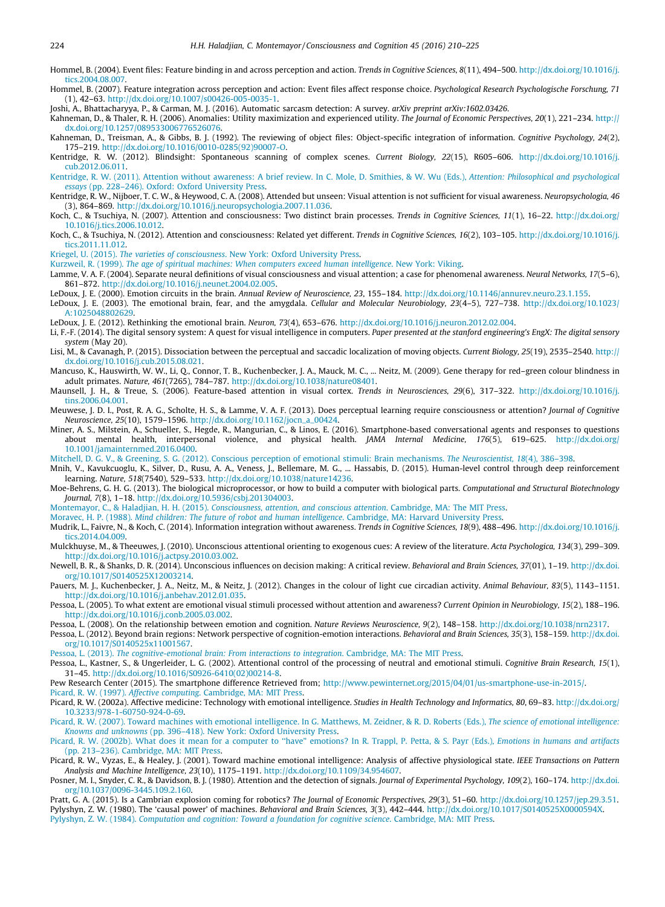<span id="page-14-0"></span>Hommel, B. (2004). Event files: Feature binding in and across perception and action. Trends in Cognitive Sciences, 8(11), 494–500. [http://dx.doi.org/10.1016/j.](http://dx.doi.org/10.1016/j.tics.2004.08.007) [tics.2004.08.007](http://dx.doi.org/10.1016/j.tics.2004.08.007).

Hommel, B. (2007). Feature integration across perception and action: Event files affect response choice. Psychological Research Psychologische Forschung, 71 (1), 42–63. [http://dx.doi.org/10.1007/s00426-005-0035-1.](http://dx.doi.org/10.1007/s00426-005-0035-1)

Joshi, A., Bhattacharyya, P., & Carman, M. J. (2016). Automatic sarcasm detection: A survey. arXiv preprint arXiv:1602.03426.

Kahneman, D., & Thaler, R. H. (2006). Anomalies: Utility maximization and experienced utility. The Journal of Economic Perspectives, 20(1), 221–234. [http://](http://dx.doi.org/10.1257/089533006776526076) [dx.doi.org/10.1257/089533006776526076.](http://dx.doi.org/10.1257/089533006776526076)

Kahneman, D., Treisman, A., & Gibbs, B. J. (1992). The reviewing of object files: Object-specific integration of information. Cognitive Psychology, 24(2), 175–219. [http://dx.doi.org/10.1016/0010-0285\(92\)90007-O.](http://dx.doi.org/10.1016/0010-0285(92)90007-O)

Kentridge, R. W. (2012). Blindsight: Spontaneous scanning of complex scenes. Current Biology, 22(15), R605–606. [http://dx.doi.org/10.1016/j.](http://dx.doi.org/10.1016/j.cub.2012.06.011) [cub.2012.06.011.](http://dx.doi.org/10.1016/j.cub.2012.06.011)

[Kentridge, R. W. \(2011\). Attention without awareness: A brief review. In C. Mole, D. Smithies, & W. Wu \(Eds.\),](http://refhub.elsevier.com/S1053-8100(16)30181-7/h0255) Attention: Philosophical and psychological essays [\(pp. 228–246\). Oxford: Oxford University Press.](http://refhub.elsevier.com/S1053-8100(16)30181-7/h0255)

Kentridge, R. W., Nijboer, T. C. W., & Heywood, C. A. (2008). Attended but unseen: Visual attention is not sufficient for visual awareness. Neuropsychologia, 46 (3), 864–869. <http://dx.doi.org/10.1016/j.neuropsychologia.2007.11.036>.

Koch, C., & Tsuchiya, N. (2007). Attention and consciousness: Two distinct brain processes. Trends in Cognitive Sciences, 11(1), 16-22. [http://dx.doi.org/](http://dx.doi.org/10.1016/j.tics.2006.10.012) [10.1016/j.tics.2006.10.012.](http://dx.doi.org/10.1016/j.tics.2006.10.012)

Koch, C., & Tsuchiya, N. (2012). Attention and consciousness: Related yet different. Trends in Cognitive Sciences, 16(2), 103–105. [http://dx.doi.org/10.1016/j.](http://dx.doi.org/10.1016/j.tics.2011.11.012) [tics.2011.11.012.](http://dx.doi.org/10.1016/j.tics.2011.11.012)

Kriegel, U. (2015). The varieties of consciousness[. New York: Oxford University Press](http://refhub.elsevier.com/S1053-8100(16)30181-7/h0275).

Kurzweil, R. (1999). [The age of spiritual machines: When computers exceed human intelligence](http://refhub.elsevier.com/S1053-8100(16)30181-7/h0280). New York: Viking.

Lamme, V. A. F. (2004). Separate neural definitions of visual consciousness and visual attention; a case for phenomenal awareness. Neural Networks, 17(5-6), 861–872. [http://dx.doi.org/10.1016/j.neunet.2004.02.005.](http://dx.doi.org/10.1016/j.neunet.2004.02.005)

LeDoux, J. E. (2000). Emotion circuits in the brain. Annual Review of Neuroscience, 23, 155–184. [http://dx.doi.org/10.1146/annurev.neuro.23.1.155.](http://dx.doi.org/10.1146/annurev.neuro.23.1.155)

LeDoux, J. E. (2003). The emotional brain, fear, and the amygdala. Cellular and Molecular Neurobiology, 23(4-5), 727-738. [http://dx.doi.org/10.1023/](http://dx.doi.org/10.1023/A:1025048802629) [A:1025048802629](http://dx.doi.org/10.1023/A:1025048802629).

LeDoux, J. E. (2012). Rethinking the emotional brain. Neuron, 73(4), 653–676. [http://dx.doi.org/10.1016/j.neuron.2012.02.004.](http://dx.doi.org/10.1016/j.neuron.2012.02.004)

Li, F.-F. (2014). The digital sensory system: A quest for visual intelligence in computers. Paper presented at the stanford engineering's EngX: The digital sensory system (May 20).

Lisi, M., & Cavanagh, P. (2015). Dissociation between the perceptual and saccadic localization of moving objects. Current Biology, 25(19), 2535–2540. [http://](http://dx.doi.org/10.1016/j.cub.2015.08.021) [dx.doi.org/10.1016/j.cub.2015.08.021](http://dx.doi.org/10.1016/j.cub.2015.08.021).

Mancuso, K., Hauswirth, W. W., Li, Q., Connor, T. B., Kuchenbecker, J. A., Mauck, M. C., ... Neitz, M. (2009). Gene therapy for red-green colour blindness in adult primates. Nature, 461(7265), 784–787. <http://dx.doi.org/10.1038/nature08401>.

Maunsell, J. H., & Treue, S. (2006). Feature-based attention in visual cortex. Trends in Neurosciences, 29(6), 317–322. [http://dx.doi.org/10.1016/j.](http://dx.doi.org/10.1016/j.tins.2006.04.001) [tins.2006.04.001](http://dx.doi.org/10.1016/j.tins.2006.04.001).

Meuwese, J. D. I., Post, R. A. G., Scholte, H. S., & Lamme, V. A. F. (2013). Does perceptual learning require consciousness or attention? Journal of Cognitive Neuroscience, 25(10), 1579–1596. [http://dx.doi.org/10.1162/jocn\\_a\\_00424](http://dx.doi.org/10.1162/jocn_a_00424).

Miner, A. S., Milstein, A., Schueller, S., Hegde, R., Mangurian, C., & Linos, E. (2016). Smartphone-based conversational agents and responses to questions<br>about mental health, interpersonal violence, and physic [10.1001/jamainternmed.2016.0400.](http://dx.doi.org/10.1001/jamainternmed.2016.0400)

[Mitchell, D. G. V., & Greening, S. G. \(2012\). Conscious perception of emotional stimuli: Brain mechanisms.](http://refhub.elsevier.com/S1053-8100(16)30181-7/h0335) The Neuroscientist, 18(4), 386–398.

Mnih, V., Kavukcuoglu, K., Silver, D., Rusu, A. A., Veness, J., Bellemare, M. G., ... Hassabis, D. (2015). Human-level control through deep reinforcement learning. Nature, 518(7540), 529–533. [http://dx.doi.org/10.1038/nature14236.](http://dx.doi.org/10.1038/nature14236)

Moe-Behrens, G. H. G. (2013). The biological microprocessor, or how to build a computer with biological parts. Computational and Structural Biotechnology Journal, 7(8), 1–18. [http://dx.doi.org/10.5936/csbj.201304003.](http://dx.doi.org/10.5936/csbj.201304003)

Montemayor, C., & Haladjian, H. H. (2015). [Consciousness, attention, and conscious attention](http://refhub.elsevier.com/S1053-8100(16)30181-7/h0350). Cambridge, MA: The MIT Press.

Moravec, H. P. (1988). [Mind children: The future of robot and human intelligence](http://refhub.elsevier.com/S1053-8100(16)30181-7/h0355). Cambridge, MA: Harvard University Press.

Mudrik, L., Faivre, N., & Koch, C. (2014). Information integration without awareness. Trends in Cognitive Sciences, 18(9), 488-496. [http://dx.doi.org/10.1016/j.](http://dx.doi.org/10.1016/j.tics.2014.04.009) [tics.2014.04.009](http://dx.doi.org/10.1016/j.tics.2014.04.009).

Mulckhuyse, M., & Theeuwes, J. (2010). Unconscious attentional orienting to exogenous cues: A review of the literature. Acta Psychologica, 134(3), 299–309. [http://dx.doi.org/10.1016/j.actpsy.2010.03.002.](http://dx.doi.org/10.1016/j.actpsy.2010.03.002)

Newell, B. R., & Shanks, D. R. (2014). Unconscious influences on decision making: A critical review. Behavioral and Brain Sciences, 37(01), 1–19. [http://dx.doi.](http://dx.doi.org/10.1017/S0140525X12003214) [org/10.1017/S0140525X12003214.](http://dx.doi.org/10.1017/S0140525X12003214)

Pauers, M. J., Kuchenbecker, J. A., Neitz, M., & Neitz, J. (2012). Changes in the colour of light cue circadian activity. Animal Behaviour, 83(5), 1143–1151. [http://dx.doi.org/10.1016/j.anbehav.2012.01.035.](http://dx.doi.org/10.1016/j.anbehav.2012.01.035)

Pessoa, L. (2005). To what extent are emotional visual stimuli processed without attention and awareness? Current Opinion in Neurobiology, 15(2), 188–196. [http://dx.doi.org/10.1016/j.conb.2005.03.002.](http://dx.doi.org/10.1016/j.conb.2005.03.002)

Pessoa, L. (2008). On the relationship between emotion and cognition. Nature Reviews Neuroscience, 9(2), 148-158. <http://dx.doi.org/10.1038/nrn2317>.

Pessoa, L. (2012). Beyond brain regions: Network perspective of cognition-emotion interactions. Behavioral and Brain Sciences, 35(3), 158–159. [http://dx.doi.](http://dx.doi.org/10.1017/S0140525x11001567) [org/10.1017/S0140525x11001567.](http://dx.doi.org/10.1017/S0140525x11001567)

Pessoa, L. (2013). [The cognitive-emotional brain: From interactions to integration](http://refhub.elsevier.com/S1053-8100(16)30181-7/h0395). Cambridge, MA: The MIT Press.

Pessoa, L., Kastner, S., & Ungerleider, L. G. (2002). Attentional control of the processing of neutral and emotional stimuli. Cognitive Brain Research, 15(1), 31–45. [http://dx.doi.org/10.1016/S0926-6410\(02\)00214-8.](http://dx.doi.org/10.1016/S0926-6410(02)00214-8)

Pew Research Center (2015). The smartphone difference Retrieved from; [http://www.pewinternet.org/2015/04/01/us-smartphone-use-in-2015/.](http://www.elsevier.com/xml/linking-roles/text/html)

Picard, R. W. (1997). Affective computing[. Cambridge, MA: MIT Press.](http://refhub.elsevier.com/S1053-8100(16)30181-7/h0410)

Picard, R. W. (2002a). Affective medicine: Technology with emotional intelligence. Studies in Health Technology and Informatics, 80, 69-83. [http://dx.doi.org/](http://dx.doi.org/10.3233/978-1-60750-924-0-69) [10.3233/978-1-60750-924-0-69](http://dx.doi.org/10.3233/978-1-60750-924-0-69).

[Picard, R. W. \(2007\). Toward machines with emotional intelligence. In G. Matthews, M. Zeidner, & R. D. Roberts \(Eds.\),](http://refhub.elsevier.com/S1053-8100(16)30181-7/h0420) The science of emotional intelligence: Knowns and unknowns [\(pp. 396–418\). New York: Oxford University Press.](http://refhub.elsevier.com/S1053-8100(16)30181-7/h0420)

[Picard, R. W. \(2002b\). What does it mean for a computer to ''have" emotions? In R. Trappl, P. Petta, & S. Payr \(Eds.\),](http://refhub.elsevier.com/S1053-8100(16)30181-7/h0425) Emotions in humans and artifacts [\(pp. 213–236\). Cambridge, MA: MIT Press.](http://refhub.elsevier.com/S1053-8100(16)30181-7/h0425)

Picard, R. W., Vyzas, E., & Healey, J. (2001). Toward machine emotional intelligence: Analysis of affective physiological state. IEEE Transactions on Pattern Analysis and Machine Intelligence, 23(10), 1175–1191. <http://dx.doi.org/10.1109/34.954607>.

Posner, M. I., Snyder, C. R., & Davidson, B. J. (1980). Attention and the detection of signals. Journal of Experimental Psychology, 109(2), 160-174. [http://dx.doi.](http://dx.doi.org/10.1037/0096-3445.109.2.160) [org/10.1037/0096-3445.109.2.160](http://dx.doi.org/10.1037/0096-3445.109.2.160).

Pratt, G. A. (2015). Is a Cambrian explosion coming for robotics? The Journal of Economic Perspectives, 29(3), 51-60. <http://dx.doi.org/10.1257/jep.29.3.51>. Pylyshyn, Z. W. (1980). The 'causal power' of machines. Behavioral and Brain Sciences, 3(3), 442–444. [http://dx.doi.org/10.1017/S0140525X0000594X.](http://dx.doi.org/10.1017/S0140525X0000594X) Pylyshyn, Z. W. (1984). [Computation and cognition: Toward a foundation for cognitive science](http://refhub.elsevier.com/S1053-8100(16)30181-7/h0450). Cambridge, MA: MIT Press.